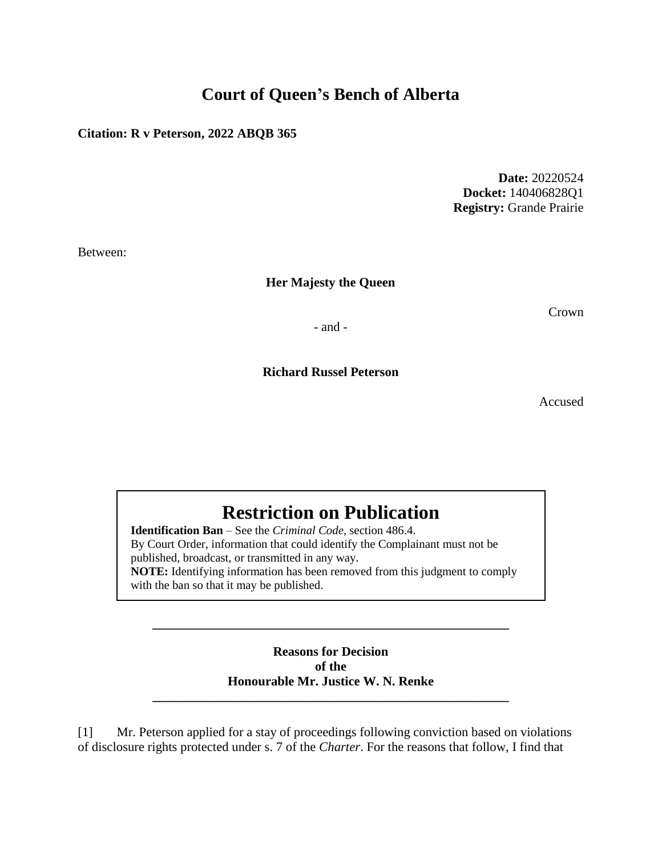## **Court of Queen's Bench of Alberta**

**Citation: R v Peterson, 2022 ABQB 365**

**Date:** 20220524 **Docket:** 140406828Q1 **Registry:** Grande Prairie

Between:

**Her Majesty the Queen**

Crown

- and -

**Richard Russel Peterson**

Accused

# **Restriction on Publication**

**Identification Ban** – See the *Criminal Code*, section 486.4. By Court Order, information that could identify the Complainant must not be published, broadcast, or transmitted in any way. **NOTE:** Identifying information has been removed from this judgment to comply with the ban so that it may be published.

> **Reasons for Decision of the Honourable Mr. Justice W. N. Renke**

**\_\_\_\_\_\_\_\_\_\_\_\_\_\_\_\_\_\_\_\_\_\_\_\_\_\_\_\_\_\_\_\_\_\_\_\_\_\_\_\_\_\_\_\_\_\_\_\_\_\_\_\_\_\_\_**

**\_\_\_\_\_\_\_\_\_\_\_\_\_\_\_\_\_\_\_\_\_\_\_\_\_\_\_\_\_\_\_\_\_\_\_\_\_\_\_\_\_\_\_\_\_\_\_\_\_\_\_\_\_\_\_**

[1] Mr. Peterson applied for a stay of proceedings following conviction based on violations of disclosure rights protected under s. 7 of the *Charter*. For the reasons that follow, I find that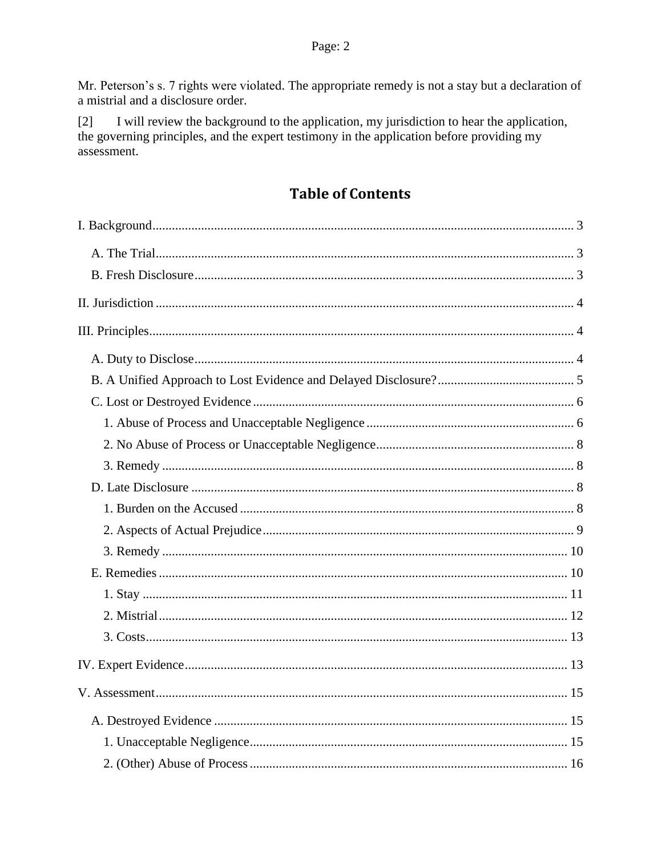Mr. Peterson's s. 7 rights were violated. The appropriate remedy is not a stay but a declaration of a mistrial and a disclosure order.

I will review the background to the application, my jurisdiction to hear the application,  $\lceil 2 \rceil$ the governing principles, and the expert testimony in the application before providing my assessment.

## **Table of Contents**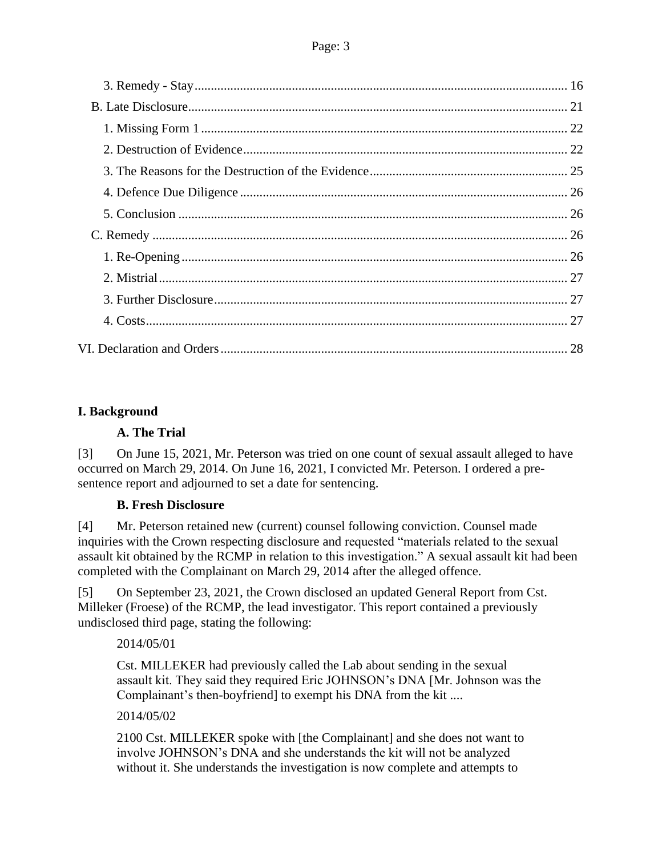## <span id="page-2-1"></span><span id="page-2-0"></span>**I. Background**

## **A. The Trial**

[3] On June 15, 2021, Mr. Peterson was tried on one count of sexual assault alleged to have occurred on March 29, 2014. On June 16, 2021, I convicted Mr. Peterson. I ordered a presentence report and adjourned to set a date for sentencing.

## **B. Fresh Disclosure**

<span id="page-2-2"></span>[4] Mr. Peterson retained new (current) counsel following conviction. Counsel made inquiries with the Crown respecting disclosure and requested "materials related to the sexual assault kit obtained by the RCMP in relation to this investigation." A sexual assault kit had been completed with the Complainant on March 29, 2014 after the alleged offence.

[5] On September 23, 2021, the Crown disclosed an updated General Report from Cst. Milleker (Froese) of the RCMP, the lead investigator. This report contained a previously undisclosed third page, stating the following:

2014/05/01

Cst. MILLEKER had previously called the Lab about sending in the sexual assault kit. They said they required Eric JOHNSON's DNA [Mr. Johnson was the Complainant's then-boyfriend] to exempt his DNA from the kit ....

2014/05/02

2100 Cst. MILLEKER spoke with [the Complainant] and she does not want to involve JOHNSON's DNA and she understands the kit will not be analyzed without it. She understands the investigation is now complete and attempts to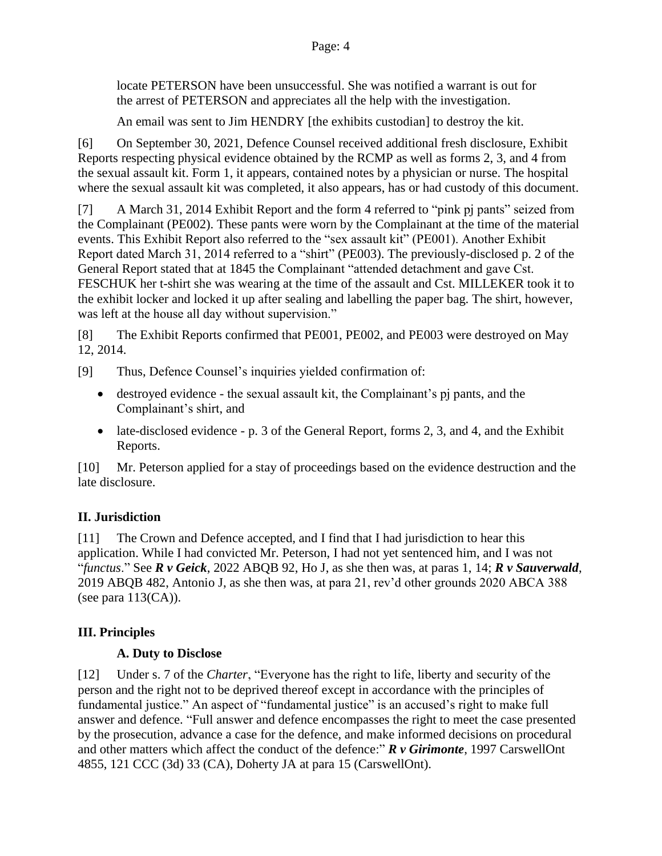locate PETERSON have been unsuccessful. She was notified a warrant is out for the arrest of PETERSON and appreciates all the help with the investigation.

An email was sent to Jim HENDRY [the exhibits custodian] to destroy the kit.

[6] On September 30, 2021, Defence Counsel received additional fresh disclosure, Exhibit Reports respecting physical evidence obtained by the RCMP as well as forms 2, 3, and 4 from the sexual assault kit. Form 1, it appears, contained notes by a physician or nurse. The hospital where the sexual assault kit was completed, it also appears, has or had custody of this document.

[7] A March 31, 2014 Exhibit Report and the form 4 referred to "pink pj pants" seized from the Complainant (PE002). These pants were worn by the Complainant at the time of the material events. This Exhibit Report also referred to the "sex assault kit" (PE001). Another Exhibit Report dated March 31, 2014 referred to a "shirt" (PE003). The previously-disclosed p. 2 of the General Report stated that at 1845 the Complainant "attended detachment and gave Cst. FESCHUK her t-shirt she was wearing at the time of the assault and Cst. MILLEKER took it to the exhibit locker and locked it up after sealing and labelling the paper bag. The shirt, however, was left at the house all day without supervision."

[8] The Exhibit Reports confirmed that PE001, PE002, and PE003 were destroyed on May 12, 2014.

[9] Thus, Defence Counsel's inquiries yielded confirmation of:

- destroyed evidence the sexual assault kit, the Complainant's pj pants, and the Complainant's shirt, and
- late-disclosed evidence p. 3 of the General Report, forms 2, 3, and 4, and the Exhibit Reports.

[10] Mr. Peterson applied for a stay of proceedings based on the evidence destruction and the late disclosure.

## <span id="page-3-0"></span>**II. Jurisdiction**

[11] The Crown and Defence accepted, and I find that I had jurisdiction to hear this application. While I had convicted Mr. Peterson, I had not yet sentenced him, and I was not "*functus*." See *R v Geick*, 2022 ABQB 92, Ho J, as she then was, at paras 1, 14; *R v Sauverwald*, 2019 ABQB 482, Antonio J, as she then was, at para 21, rev'd other grounds 2020 ABCA 388 (see para  $113(CA)$ ).

## <span id="page-3-2"></span><span id="page-3-1"></span>**III. Principles**

## **A. Duty to Disclose**

[12] Under s. 7 of the *Charter*, "Everyone has the right to life, liberty and security of the person and the right not to be deprived thereof except in accordance with the principles of fundamental justice." An aspect of "fundamental justice" is an accused's right to make full answer and defence. "Full answer and defence encompasses the right to meet the case presented by the prosecution, advance a case for the defence, and make informed decisions on procedural and other matters which affect the conduct of the defence:" *R v Girimonte*, 1997 CarswellOnt 4855, 121 CCC (3d) 33 (CA), Doherty JA at para 15 (CarswellOnt).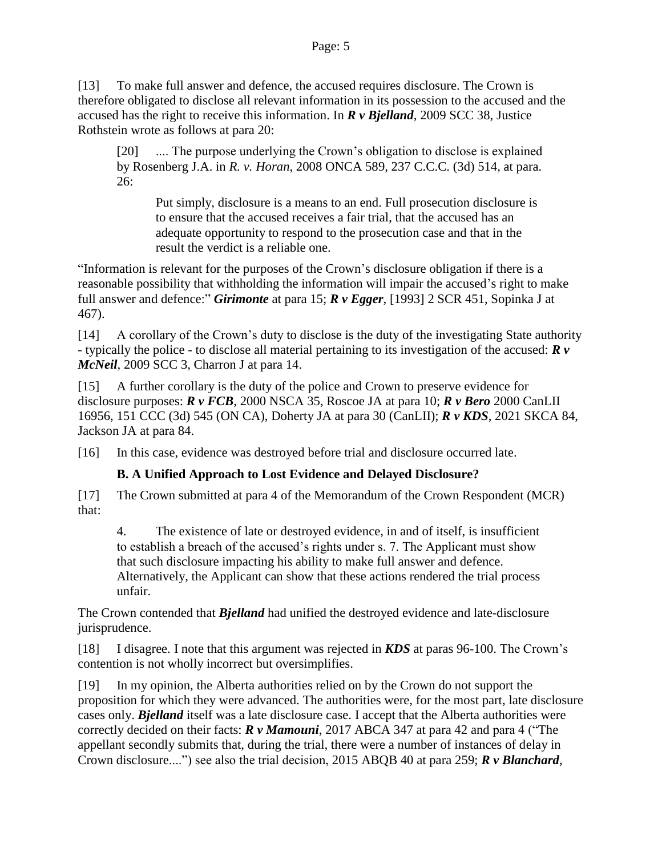[13] To make full answer and defence, the accused requires disclosure. The Crown is therefore obligated to disclose all relevant information in its possession to the accused and the accused has the right to receive this information. In *R v Bjelland*, 2009 SCC 38, Justice Rothstein wrote as follows at para 20:

[20] .... The purpose underlying the Crown's obligation to disclose is explained by Rosenberg J.A. in *R. v. Horan*, 2008 ONCA 589, 237 C.C.C. (3d) 514, at para. 26:

Put simply, disclosure is a means to an end. Full prosecution disclosure is to ensure that the accused receives a fair trial, that the accused has an adequate opportunity to respond to the prosecution case and that in the result the verdict is a reliable one.

"Information is relevant for the purposes of the Crown's disclosure obligation if there is a reasonable possibility that withholding the information will impair the accused's right to make full answer and defence:" *Girimonte* at para 15; *R v Egger*, [1993] 2 SCR 451, Sopinka J at 467).

[14] A corollary of the Crown's duty to disclose is the duty of the investigating State authority - typically the police - to disclose all material pertaining to its investigation of the accused: *R v McNeil*, 2009 SCC 3, Charron J at para 14.

[15] A further corollary is the duty of the police and Crown to preserve evidence for disclosure purposes: *R v FCB*, 2000 NSCA 35, Roscoe JA at para 10; *R v Bero* 2000 CanLII 16956, 151 CCC (3d) 545 (ON CA), Doherty JA at para 30 (CanLII); *R v KDS*, 2021 SKCA 84, Jackson JA at para 84.

[16] In this case, evidence was destroyed before trial and disclosure occurred late.

## **B. A Unified Approach to Lost Evidence and Delayed Disclosure?**

<span id="page-4-0"></span>[17] The Crown submitted at para 4 of the Memorandum of the Crown Respondent (MCR) that:

4. The existence of late or destroyed evidence, in and of itself, is insufficient to establish a breach of the accused's rights under s. 7. The Applicant must show that such disclosure impacting his ability to make full answer and defence. Alternatively, the Applicant can show that these actions rendered the trial process unfair.

The Crown contended that *Bjelland* had unified the destroyed evidence and late-disclosure jurisprudence.

[18] I disagree. I note that this argument was rejected in *KDS* at paras 96-100. The Crown's contention is not wholly incorrect but oversimplifies.

[19] In my opinion, the Alberta authorities relied on by the Crown do not support the proposition for which they were advanced. The authorities were, for the most part, late disclosure cases only. *Bjelland* itself was a late disclosure case. I accept that the Alberta authorities were correctly decided on their facts: *R v Mamouni*, 2017 ABCA 347 at para 42 and para 4 ("The appellant secondly submits that, during the trial, there were a number of instances of delay in Crown disclosure....") see also the trial decision, 2015 ABQB 40 at para 259; *R v Blanchard*,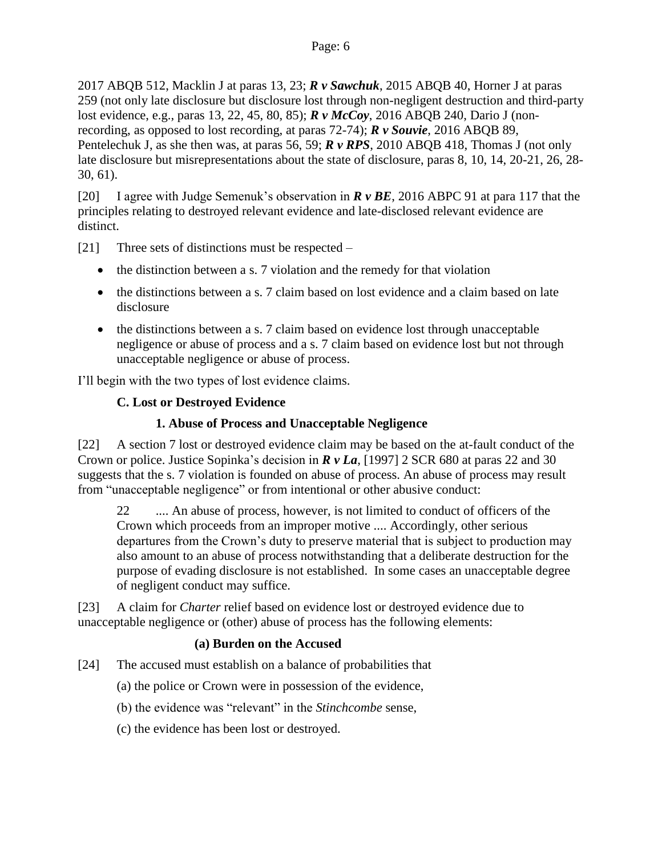2017 ABQB 512, Macklin J at paras 13, 23; *R v Sawchuk*, 2015 ABQB 40, Horner J at paras 259 (not only late disclosure but disclosure lost through non-negligent destruction and third-party lost evidence, e.g., paras 13, 22, 45, 80, 85); *R v McCoy*, 2016 ABQB 240, Dario J (nonrecording, as opposed to lost recording, at paras 72-74); *R v Souvie*, 2016 ABQB 89, Pentelechuk J, as she then was, at paras 56, 59; *R v RPS*, 2010 ABQB 418, Thomas J (not only late disclosure but misrepresentations about the state of disclosure, paras 8, 10, 14, 20-21, 26, 28- 30, 61).

[20] I agree with Judge Semenuk's observation in *R v BE*, 2016 ABPC 91 at para 117 that the principles relating to destroyed relevant evidence and late-disclosed relevant evidence are distinct.

[21] Three sets of distinctions must be respected –

- the distinction between a s. 7 violation and the remedy for that violation
- the distinctions between a s. 7 claim based on lost evidence and a claim based on late disclosure
- the distinctions between a s. 7 claim based on evidence lost through unacceptable negligence or abuse of process and a s. 7 claim based on evidence lost but not through unacceptable negligence or abuse of process.

<span id="page-5-0"></span>I'll begin with the two types of lost evidence claims.

## **C. Lost or Destroyed Evidence**

#### **1. Abuse of Process and Unacceptable Negligence**

<span id="page-5-1"></span>[22] A section 7 lost or destroyed evidence claim may be based on the at-fault conduct of the Crown or police. Justice Sopinka's decision in *R v La*, [1997] 2 SCR 680 at paras 22 and 30 suggests that the s. 7 violation is founded on abuse of process. An abuse of process may result from "unacceptable negligence" or from intentional or other abusive conduct:

22 .... An abuse of process, however, is not limited to conduct of officers of the Crown which proceeds from an improper motive .... Accordingly, other serious departures from the Crown's duty to preserve material that is subject to production may also amount to an abuse of process notwithstanding that a deliberate destruction for the purpose of evading disclosure is not established. In some cases an unacceptable degree of negligent conduct may suffice.

[23] A claim for *Charter* relief based on evidence lost or destroyed evidence due to unacceptable negligence or (other) abuse of process has the following elements:

#### **(a) Burden on the Accused**

[24] The accused must establish on a balance of probabilities that

(a) the police or Crown were in possession of the evidence,

- (b) the evidence was "relevant" in the *Stinchcombe* sense,
- (c) the evidence has been lost or destroyed.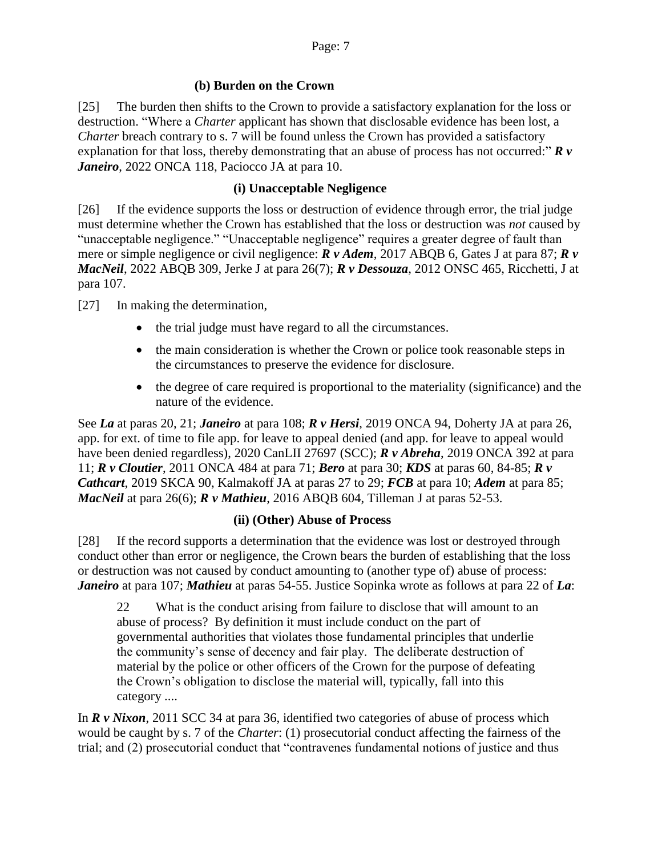## **(b) Burden on the Crown**

[25] The burden then shifts to the Crown to provide a satisfactory explanation for the loss or destruction. "Where a *Charter* applicant has shown that disclosable evidence has been lost, a *Charter* breach contrary to s. 7 will be found unless the Crown has provided a satisfactory explanation for that loss, thereby demonstrating that an abuse of process has not occurred:" *R v Janeiro*, 2022 ONCA 118, Paciocco JA at para 10.

## **(i) Unacceptable Negligence**

[26] If the evidence supports the loss or destruction of evidence through error, the trial judge must determine whether the Crown has established that the loss or destruction was *not* caused by "unacceptable negligence." "Unacceptable negligence" requires a greater degree of fault than mere or simple negligence or civil negligence: *R v Adem*, 2017 ABQB 6, Gates J at para 87; *R v MacNeil*, 2022 ABQB 309, Jerke J at para 26(7); *R v Dessouza*, 2012 ONSC 465, Ricchetti, J at para 107.

[27] In making the determination,

- the trial judge must have regard to all the circumstances.
- the main consideration is whether the Crown or police took reasonable steps in the circumstances to preserve the evidence for disclosure.
- the degree of care required is proportional to the materiality (significance) and the nature of the evidence.

See *La* at paras 20, 21; *Janeiro* at para 108; *R v Hersi*, 2019 ONCA 94, Doherty JA at para 26, app. for ext. of time to file app. for leave to appeal denied (and app. for leave to appeal would have been denied regardless), 2020 CanLII 27697 (SCC); *R v Abreha*, 2019 ONCA 392 at para 11; *R v Cloutier*, 2011 ONCA 484 at para 71; *Bero* at para 30; *KDS* at paras 60, 84-85; *R v Cathcart*, 2019 SKCA 90, Kalmakoff JA at paras 27 to 29; *FCB* at para 10; *Adem* at para 85; *MacNeil* at para 26(6); *R v Mathieu*, 2016 ABQB 604, Tilleman J at paras 52-53.

## **(ii) (Other) Abuse of Process**

[28] If the record supports a determination that the evidence was lost or destroyed through conduct other than error or negligence, the Crown bears the burden of establishing that the loss or destruction was not caused by conduct amounting to (another type of) abuse of process: *Janeiro* at para 107; *Mathieu* at paras 54-55. Justice Sopinka wrote as follows at para 22 of *La*:

22 What is the conduct arising from failure to disclose that will amount to an abuse of process? By definition it must include conduct on the part of governmental authorities that violates those fundamental principles that underlie the community's sense of decency and fair play. The deliberate destruction of material by the police or other officers of the Crown for the purpose of defeating the Crown's obligation to disclose the material will, typically, fall into this category ....

In *R v Nixon*, 2011 SCC 34 at para 36, identified two categories of abuse of process which would be caught by s. 7 of the *Charter*: (1) prosecutorial conduct affecting the fairness of the trial; and (2) prosecutorial conduct that "contravenes fundamental notions of justice and thus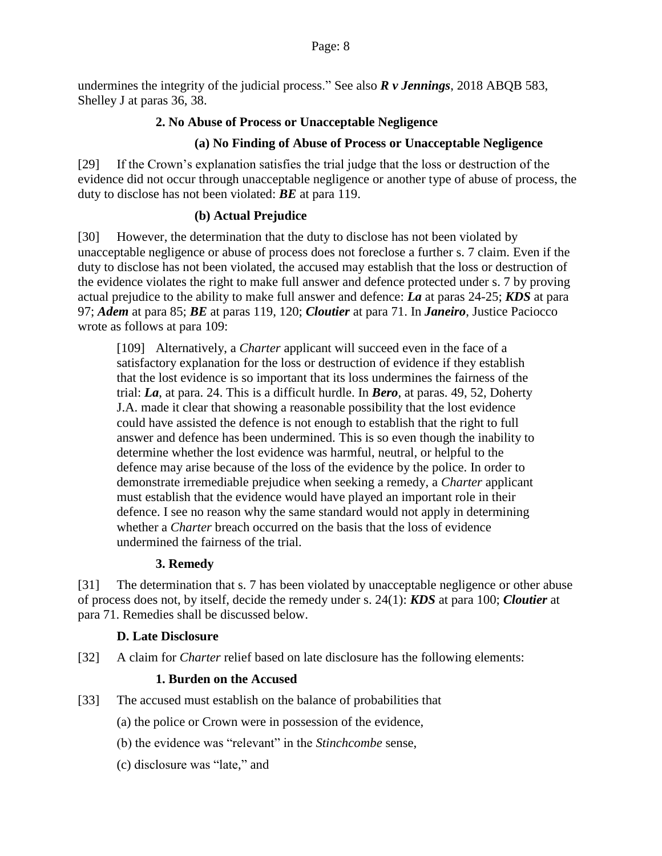<span id="page-7-0"></span>undermines the integrity of the judicial process." See also *R v Jennings*, 2018 ABQB 583, Shelley J at paras 36, 38.

## **2. No Abuse of Process or Unacceptable Negligence**

## **(a) No Finding of Abuse of Process or Unacceptable Negligence**

[29] If the Crown's explanation satisfies the trial judge that the loss or destruction of the evidence did not occur through unacceptable negligence or another type of abuse of process, the duty to disclose has not been violated: *BE* at para 119.

## **(b) Actual Prejudice**

[30] However, the determination that the duty to disclose has not been violated by unacceptable negligence or abuse of process does not foreclose a further s. 7 claim. Even if the duty to disclose has not been violated, the accused may establish that the loss or destruction of the evidence violates the right to make full answer and defence protected under s. 7 by proving actual prejudice to the ability to make full answer and defence: *La* at paras 24-25; *KDS* at para 97; *Adem* at para 85; *BE* at paras 119, 120; *Cloutier* at para 71. In *Janeiro*, Justice Paciocco wrote as follows at para 109:

[109] Alternatively, a *Charter* applicant will succeed even in the face of a satisfactory explanation for the loss or destruction of evidence if they establish that the lost evidence is so important that its loss undermines the fairness of the trial: *La*, at para. 24. This is a difficult hurdle. In *Bero*, at paras. 49, 52, Doherty J.A. made it clear that showing a reasonable possibility that the lost evidence could have assisted the defence is not enough to establish that the right to full answer and defence has been undermined. This is so even though the inability to determine whether the lost evidence was harmful, neutral, or helpful to the defence may arise because of the loss of the evidence by the police. In order to demonstrate irremediable prejudice when seeking a remedy, a *Charter* applicant must establish that the evidence would have played an important role in their defence. I see no reason why the same standard would not apply in determining whether a *Charter* breach occurred on the basis that the loss of evidence undermined the fairness of the trial.

## **3. Remedy**

<span id="page-7-1"></span>[31] The determination that s. 7 has been violated by unacceptable negligence or other abuse of process does not, by itself, decide the remedy under s. 24(1): *KDS* at para 100; *Cloutier* at para 71. Remedies shall be discussed below.

## **D. Late Disclosure**

<span id="page-7-3"></span><span id="page-7-2"></span>[32] A claim for *Charter* relief based on late disclosure has the following elements:

## **1. Burden on the Accused**

- [33] The accused must establish on the balance of probabilities that
	- (a) the police or Crown were in possession of the evidence,
	- (b) the evidence was "relevant" in the *Stinchcombe* sense,
	- (c) disclosure was "late," and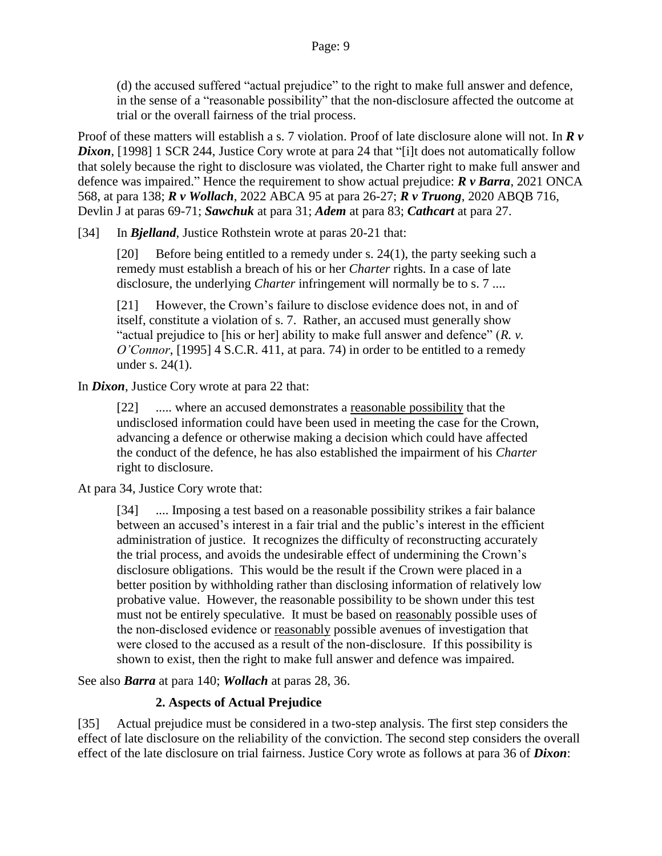(d) the accused suffered "actual prejudice" to the right to make full answer and defence, in the sense of a "reasonable possibility" that the non-disclosure affected the outcome at trial or the overall fairness of the trial process.

Proof of these matters will establish a s. 7 violation. Proof of late disclosure alone will not. In *R v*  **Dixon**, [1998] 1 SCR 244, Justice Cory wrote at para 24 that "[i]t does not automatically follow that solely because the right to disclosure was violated, the Charter right to make full answer and defence was impaired." Hence the requirement to show actual prejudice: *R v Barra*, 2021 ONCA 568, at para 138; *R v Wollach*, 2022 ABCA 95 at para 26-27; *R v Truong*, 2020 ABQB 716, Devlin J at paras 69-71; *Sawchuk* at para 31; *Adem* at para 83; *Cathcart* at para 27.

[34] In *Bjelland*, Justice Rothstein wrote at paras 20-21 that:

[20] Before being entitled to a remedy under s. 24(1), the party seeking such a remedy must establish a breach of his or her *Charter* rights. In a case of late disclosure, the underlying *Charter* infringement will normally be to s. 7 ....

[21] However, the Crown's failure to disclose evidence does not, in and of itself, constitute a violation of s. 7. Rather, an accused must generally show "actual prejudice to [his or her] ability to make full answer and defence" (*R. v. O'Connor*, [1995] 4 S.C.R. 411, at para. 74) in order to be entitled to a remedy under s. 24(1).

In *Dixon*, Justice Cory wrote at para 22 that:

[22] ..... where an accused demonstrates a reasonable possibility that the undisclosed information could have been used in meeting the case for the Crown, advancing a defence or otherwise making a decision which could have affected the conduct of the defence, he has also established the impairment of his *Charter* right to disclosure.

At para 34, Justice Cory wrote that:

[34] .... Imposing a test based on a reasonable possibility strikes a fair balance between an accused's interest in a fair trial and the public's interest in the efficient administration of justice. It recognizes the difficulty of reconstructing accurately the trial process, and avoids the undesirable effect of undermining the Crown's disclosure obligations. This would be the result if the Crown were placed in a better position by withholding rather than disclosing information of relatively low probative value. However, the reasonable possibility to be shown under this test must not be entirely speculative. It must be based on reasonably possible uses of the non‑disclosed evidence or reasonably possible avenues of investigation that were closed to the accused as a result of the non-disclosure. If this possibility is shown to exist, then the right to make full answer and defence was impaired.

<span id="page-8-0"></span>See also *Barra* at para 140; *Wollach* at paras 28, 36.

## **2. Aspects of Actual Prejudice**

[35] Actual prejudice must be considered in a two-step analysis. The first step considers the effect of late disclosure on the reliability of the conviction. The second step considers the overall effect of the late disclosure on trial fairness. Justice Cory wrote as follows at para 36 of *Dixon*: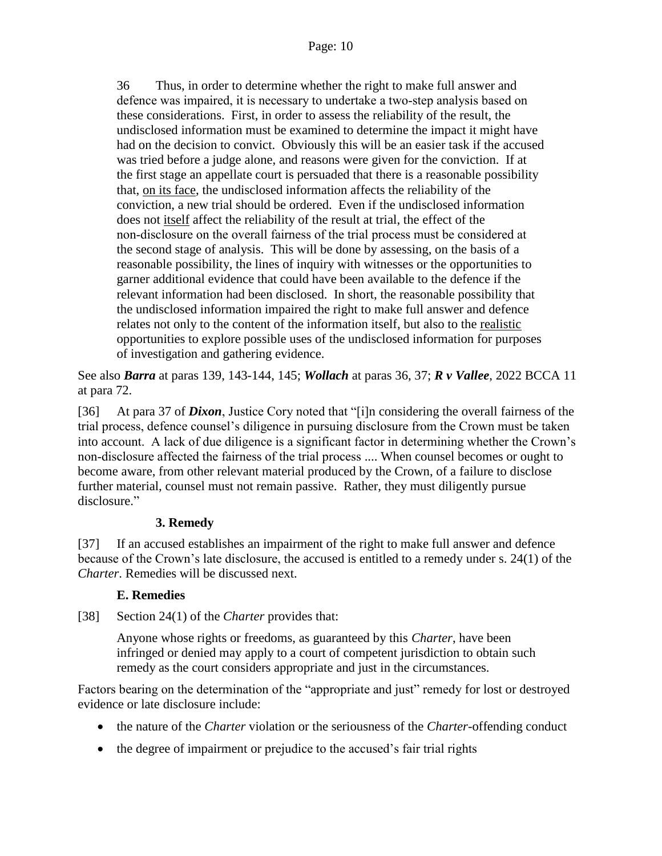36 Thus, in order to determine whether the right to make full answer and defence was impaired, it is necessary to undertake a two‑step analysis based on these considerations. First, in order to assess the reliability of the result, the undisclosed information must be examined to determine the impact it might have had on the decision to convict. Obviously this will be an easier task if the accused was tried before a judge alone, and reasons were given for the conviction. If at the first stage an appellate court is persuaded that there is a reasonable possibility that, on its face, the undisclosed information affects the reliability of the conviction, a new trial should be ordered. Even if the undisclosed information does not itself affect the reliability of the result at trial, the effect of the non‑disclosure on the overall fairness of the trial process must be considered at the second stage of analysis. This will be done by assessing, on the basis of a reasonable possibility, the lines of inquiry with witnesses or the opportunities to garner additional evidence that could have been available to the defence if the relevant information had been disclosed. In short, the reasonable possibility that the undisclosed information impaired the right to make full answer and defence relates not only to the content of the information itself, but also to the realistic opportunities to explore possible uses of the undisclosed information for purposes of investigation and gathering evidence.

See also *Barra* at paras 139, 143-144, 145; *Wollach* at paras 36, 37; *R v Vallee*, 2022 BCCA 11 at para 72.

[36] At para 37 of *Dixon*, Justice Cory noted that "[i]n considering the overall fairness of the trial process, defence counsel's diligence in pursuing disclosure from the Crown must be taken into account. A lack of due diligence is a significant factor in determining whether the Crown's non‑disclosure affected the fairness of the trial process .... When counsel becomes or ought to become aware, from other relevant material produced by the Crown, of a failure to disclose further material, counsel must not remain passive. Rather, they must diligently pursue disclosure."

## **3. Remedy**

<span id="page-9-0"></span>[37] If an accused establishes an impairment of the right to make full answer and defence because of the Crown's late disclosure, the accused is entitled to a remedy under s. 24(1) of the *Charter*. Remedies will be discussed next.

## **E. Remedies**

<span id="page-9-1"></span>[38] Section 24(1) of the *Charter* provides that:

Anyone whose rights or freedoms, as guaranteed by this *Charter*, have been infringed or denied may apply to a court of competent jurisdiction to obtain such remedy as the court considers appropriate and just in the circumstances.

Factors bearing on the determination of the "appropriate and just" remedy for lost or destroyed evidence or late disclosure include:

- the nature of the *Charter* violation or the seriousness of the *Charter*-offending conduct
- the degree of impairment or prejudice to the accused's fair trial rights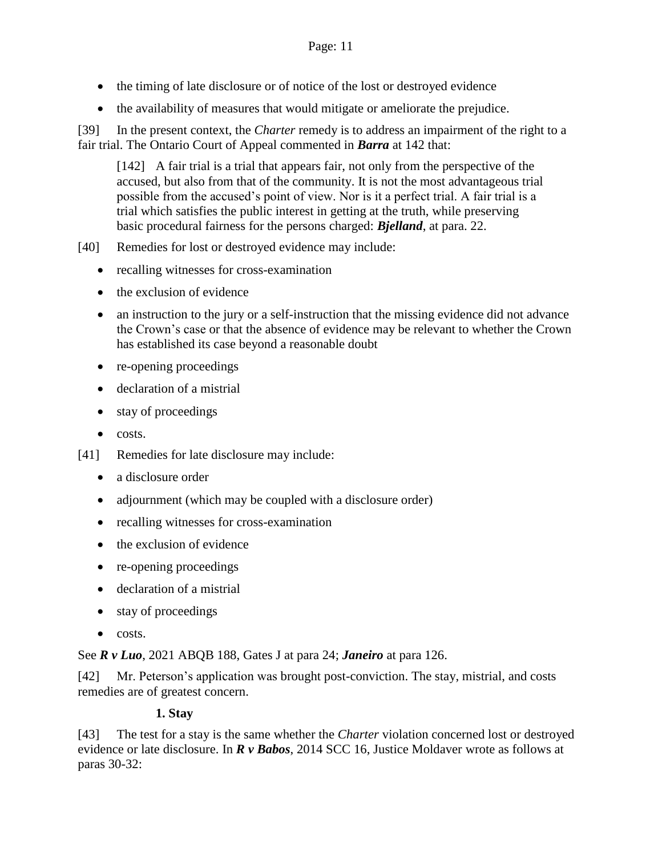- the timing of late disclosure or of notice of the lost or destroyed evidence
- the availability of measures that would mitigate or ameliorate the prejudice.

[39] In the present context, the *Charter* remedy is to address an impairment of the right to a fair trial. The Ontario Court of Appeal commented in *Barra* at 142 that:

[142] A fair trial is a trial that appears fair, not only from the perspective of the accused, but also from that of the community. It is not the most advantageous trial possible from the accused's point of view. Nor is it a perfect trial. A fair trial is a trial which satisfies the public interest in getting at the truth, while preserving basic procedural fairness for the persons charged: *Bjelland*, at para. 22.

- [40] Remedies for lost or destroyed evidence may include:
	- recalling witnesses for cross-examination
	- $\bullet$  the exclusion of evidence
	- an instruction to the jury or a self-instruction that the missing evidence did not advance the Crown's case or that the absence of evidence may be relevant to whether the Crown has established its case beyond a reasonable doubt
	- re-opening proceedings
	- declaration of a mistrial
	- stay of proceedings
	- $\bullet$  costs.
- [41] Remedies for late disclosure may include:
	- a disclosure order
	- adjournment (which may be coupled with a disclosure order)
	- recalling witnesses for cross-examination
	- the exclusion of evidence
	- re-opening proceedings
	- declaration of a mistrial
	- stay of proceedings
	- $\bullet$  costs.

See *R v Luo*, 2021 ABQB 188, Gates J at para 24; *Janeiro* at para 126.

[42] Mr. Peterson's application was brought post-conviction. The stay, mistrial, and costs remedies are of greatest concern.

#### **1. Stay**

<span id="page-10-0"></span>[43] The test for a stay is the same whether the *Charter* violation concerned lost or destroyed evidence or late disclosure. In *R v Babos*, 2014 SCC 16, Justice Moldaver wrote as follows at paras 30-32: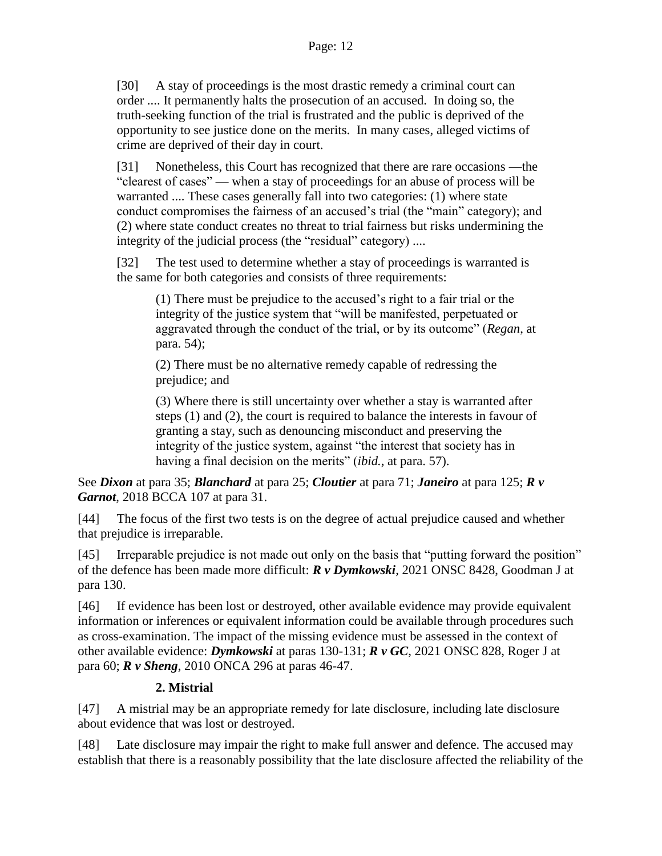[30] A stay of proceedings is the most drastic remedy a criminal court can order .... It permanently halts the prosecution of an accused. In doing so, the truth-seeking function of the trial is frustrated and the public is deprived of the opportunity to see justice done on the merits. In many cases, alleged victims of crime are deprived of their day in court.

[31] Nonetheless, this Court has recognized that there are rare occasions —the "clearest of cases" — when a stay of proceedings for an abuse of process will be warranted .... These cases generally fall into two categories: (1) where state conduct compromises the fairness of an accused's trial (the "main" category); and (2) where state conduct creates no threat to trial fairness but risks undermining the integrity of the judicial process (the "residual" category) ....

[32] The test used to determine whether a stay of proceedings is warranted is the same for both categories and consists of three requirements:

(1) There must be prejudice to the accused's right to a fair trial or the integrity of the justice system that "will be manifested, perpetuated or aggravated through the conduct of the trial, or by its outcome" (*Regan*, at para. 54);

(2) There must be no alternative remedy capable of redressing the prejudice; and

(3) Where there is still uncertainty over whether a stay is warranted after steps (1) and (2), the court is required to balance the interests in favour of granting a stay, such as denouncing misconduct and preserving the integrity of the justice system, against "the interest that society has in having a final decision on the merits" *(ibid., at para.* 57).

See *Dixon* at para 35; *Blanchard* at para 25; *Cloutier* at para 71; *Janeiro* at para 125; *R v Garnot*, 2018 BCCA 107 at para 31.

[44] The focus of the first two tests is on the degree of actual prejudice caused and whether that prejudice is irreparable.

[45] Irreparable prejudice is not made out only on the basis that "putting forward the position" of the defence has been made more difficult: *R v Dymkowski*, 2021 ONSC 8428, Goodman J at para 130.

[46] If evidence has been lost or destroyed, other available evidence may provide equivalent information or inferences or equivalent information could be available through procedures such as cross-examination. The impact of the missing evidence must be assessed in the context of other available evidence: *Dymkowski* at paras 130-131; *R v GC*, 2021 ONSC 828, Roger J at para 60; *R v Sheng*, 2010 ONCA 296 at paras 46-47.

## **2. Mistrial**

<span id="page-11-0"></span>[47] A mistrial may be an appropriate remedy for late disclosure, including late disclosure about evidence that was lost or destroyed.

[48] Late disclosure may impair the right to make full answer and defence. The accused may establish that there is a reasonably possibility that the late disclosure affected the reliability of the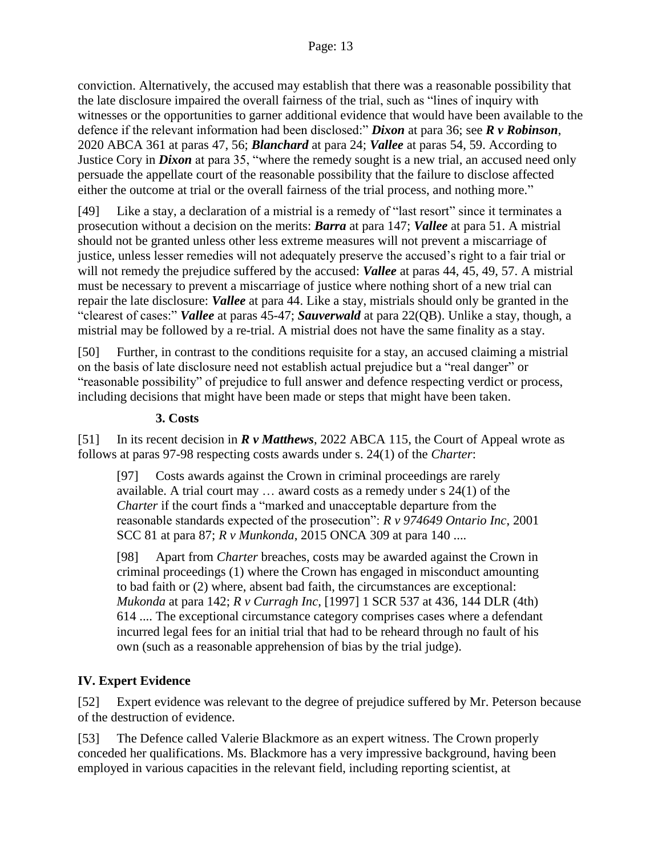conviction. Alternatively, the accused may establish that there was a reasonable possibility that the late disclosure impaired the overall fairness of the trial, such as "lines of inquiry with witnesses or the opportunities to garner additional evidence that would have been available to the defence if the relevant information had been disclosed:" *Dixon* at para 36; see *R v Robinson*, 2020 ABCA 361 at paras 47, 56; *Blanchard* at para 24; *Vallee* at paras 54, 59. According to Justice Cory in *Dixon* at para 35, "where the remedy sought is a new trial, an accused need only persuade the appellate court of the reasonable possibility that the failure to disclose affected either the outcome at trial or the overall fairness of the trial process, and nothing more."

[49] Like a stay, a declaration of a mistrial is a remedy of "last resort" since it terminates a prosecution without a decision on the merits: *Barra* at para 147; *Vallee* at para 51. A mistrial should not be granted unless other less extreme measures will not prevent a miscarriage of justice, unless lesser remedies will not adequately preserve the accused's right to a fair trial or will not remedy the prejudice suffered by the accused: *Vallee* at paras 44, 45, 49, 57. A mistrial must be necessary to prevent a miscarriage of justice where nothing short of a new trial can repair the late disclosure: *Vallee* at para 44. Like a stay, mistrials should only be granted in the "clearest of cases:" *Vallee* at paras 45-47; *Sauverwald* at para 22(QB). Unlike a stay, though, a mistrial may be followed by a re-trial. A mistrial does not have the same finality as a stay.

[50] Further, in contrast to the conditions requisite for a stay, an accused claiming a mistrial on the basis of late disclosure need not establish actual prejudice but a "real danger" or "reasonable possibility" of prejudice to full answer and defence respecting verdict or process, including decisions that might have been made or steps that might have been taken.

#### **3. Costs**

<span id="page-12-0"></span>[51] In its recent decision in *R v Matthews*, 2022 ABCA 115, the Court of Appeal wrote as follows at paras 97-98 respecting costs awards under s. 24(1) of the *Charter*:

[97] Costs awards against the Crown in criminal proceedings are rarely available. A trial court may … award costs as a remedy under s 24(1) of the *Charter* if the court finds a "marked and unacceptable departure from the reasonable standards expected of the prosecution": *R v 974649 Ontario Inc*, 2001 SCC 81 at para 87; *R v Munkonda*, 2015 ONCA 309 at para 140 ....

[98] Apart from *Charter* breaches, costs may be awarded against the Crown in criminal proceedings (1) where the Crown has engaged in misconduct amounting to bad faith or (2) where, absent bad faith, the circumstances are exceptional: *Mukonda* at para 142; *R v Curragh Inc*, [1997] 1 SCR 537 at 436, 144 DLR (4th) 614 .... The exceptional circumstance category comprises cases where a defendant incurred legal fees for an initial trial that had to be reheard through no fault of his own (such as a reasonable apprehension of bias by the trial judge).

## <span id="page-12-1"></span>**IV. Expert Evidence**

[52] Expert evidence was relevant to the degree of prejudice suffered by Mr. Peterson because of the destruction of evidence.

[53] The Defence called Valerie Blackmore as an expert witness. The Crown properly conceded her qualifications. Ms. Blackmore has a very impressive background, having been employed in various capacities in the relevant field, including reporting scientist, at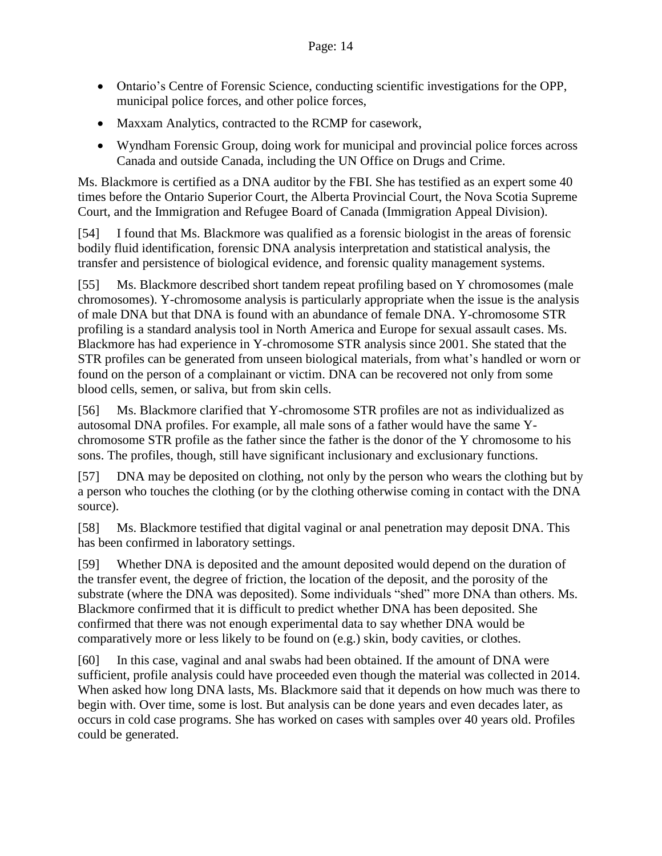- Ontario's Centre of Forensic Science, conducting scientific investigations for the OPP, municipal police forces, and other police forces,
- Maxxam Analytics, contracted to the RCMP for casework,
- Wyndham Forensic Group, doing work for municipal and provincial police forces across Canada and outside Canada, including the UN Office on Drugs and Crime.

Ms. Blackmore is certified as a DNA auditor by the FBI. She has testified as an expert some 40 times before the Ontario Superior Court, the Alberta Provincial Court, the Nova Scotia Supreme Court, and the Immigration and Refugee Board of Canada (Immigration Appeal Division).

[54] I found that Ms. Blackmore was qualified as a forensic biologist in the areas of forensic bodily fluid identification, forensic DNA analysis interpretation and statistical analysis, the transfer and persistence of biological evidence, and forensic quality management systems.

[55] Ms. Blackmore described short tandem repeat profiling based on Y chromosomes (male chromosomes). Y-chromosome analysis is particularly appropriate when the issue is the analysis of male DNA but that DNA is found with an abundance of female DNA. Y-chromosome STR profiling is a standard analysis tool in North America and Europe for sexual assault cases. Ms. Blackmore has had experience in Y-chromosome STR analysis since 2001. She stated that the STR profiles can be generated from unseen biological materials, from what's handled or worn or found on the person of a complainant or victim. DNA can be recovered not only from some blood cells, semen, or saliva, but from skin cells.

[56] Ms. Blackmore clarified that Y-chromosome STR profiles are not as individualized as autosomal DNA profiles. For example, all male sons of a father would have the same Ychromosome STR profile as the father since the father is the donor of the Y chromosome to his sons. The profiles, though, still have significant inclusionary and exclusionary functions.

[57] DNA may be deposited on clothing, not only by the person who wears the clothing but by a person who touches the clothing (or by the clothing otherwise coming in contact with the DNA source).

[58] Ms. Blackmore testified that digital vaginal or anal penetration may deposit DNA. This has been confirmed in laboratory settings.

[59] Whether DNA is deposited and the amount deposited would depend on the duration of the transfer event, the degree of friction, the location of the deposit, and the porosity of the substrate (where the DNA was deposited). Some individuals "shed" more DNA than others. Ms. Blackmore confirmed that it is difficult to predict whether DNA has been deposited. She confirmed that there was not enough experimental data to say whether DNA would be comparatively more or less likely to be found on (e.g.) skin, body cavities, or clothes.

[60] In this case, vaginal and anal swabs had been obtained. If the amount of DNA were sufficient, profile analysis could have proceeded even though the material was collected in 2014. When asked how long DNA lasts, Ms. Blackmore said that it depends on how much was there to begin with. Over time, some is lost. But analysis can be done years and even decades later, as occurs in cold case programs. She has worked on cases with samples over 40 years old. Profiles could be generated.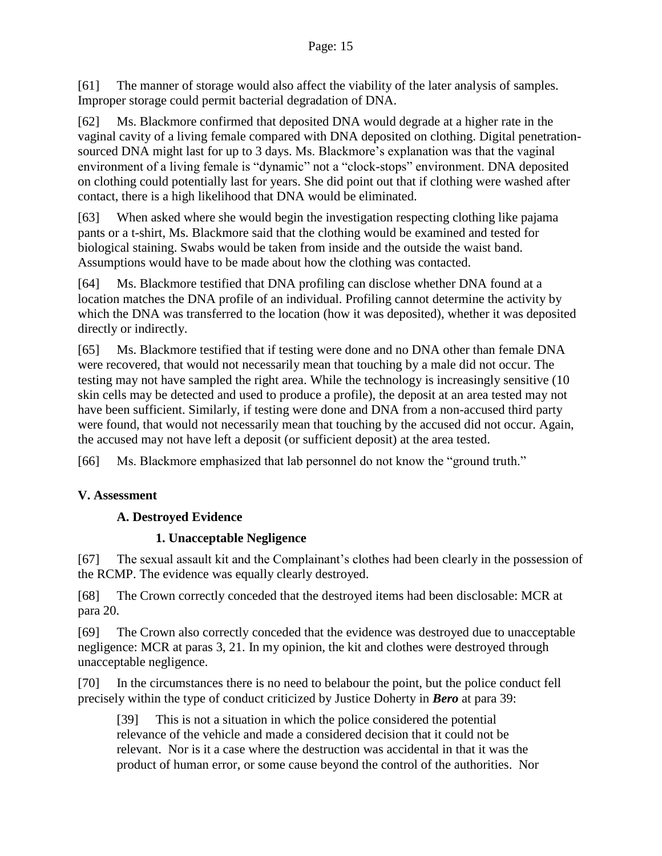[61] The manner of storage would also affect the viability of the later analysis of samples. Improper storage could permit bacterial degradation of DNA.

[62] Ms. Blackmore confirmed that deposited DNA would degrade at a higher rate in the vaginal cavity of a living female compared with DNA deposited on clothing. Digital penetrationsourced DNA might last for up to 3 days. Ms. Blackmore's explanation was that the vaginal environment of a living female is "dynamic" not a "clock-stops" environment. DNA deposited on clothing could potentially last for years. She did point out that if clothing were washed after contact, there is a high likelihood that DNA would be eliminated.

[63] When asked where she would begin the investigation respecting clothing like pajama pants or a t-shirt, Ms. Blackmore said that the clothing would be examined and tested for biological staining. Swabs would be taken from inside and the outside the waist band. Assumptions would have to be made about how the clothing was contacted.

[64] Ms. Blackmore testified that DNA profiling can disclose whether DNA found at a location matches the DNA profile of an individual. Profiling cannot determine the activity by which the DNA was transferred to the location (how it was deposited), whether it was deposited directly or indirectly.

[65] Ms. Blackmore testified that if testing were done and no DNA other than female DNA were recovered, that would not necessarily mean that touching by a male did not occur. The testing may not have sampled the right area. While the technology is increasingly sensitive (10 skin cells may be detected and used to produce a profile), the deposit at an area tested may not have been sufficient. Similarly, if testing were done and DNA from a non-accused third party were found, that would not necessarily mean that touching by the accused did not occur. Again, the accused may not have left a deposit (or sufficient deposit) at the area tested.

[66] Ms. Blackmore emphasized that lab personnel do not know the "ground truth."

## <span id="page-14-1"></span><span id="page-14-0"></span>**V. Assessment**

## **A. Destroyed Evidence**

## **1. Unacceptable Negligence**

<span id="page-14-2"></span>[67] The sexual assault kit and the Complainant's clothes had been clearly in the possession of the RCMP. The evidence was equally clearly destroyed.

[68] The Crown correctly conceded that the destroyed items had been disclosable: MCR at para 20.

[69] The Crown also correctly conceded that the evidence was destroyed due to unacceptable negligence: MCR at paras 3, 21. In my opinion, the kit and clothes were destroyed through unacceptable negligence.

[70] In the circumstances there is no need to belabour the point, but the police conduct fell precisely within the type of conduct criticized by Justice Doherty in *Bero* at para 39:

[39] This is not a situation in which the police considered the potential relevance of the vehicle and made a considered decision that it could not be relevant. Nor is it a case where the destruction was accidental in that it was the product of human error, or some cause beyond the control of the authorities. Nor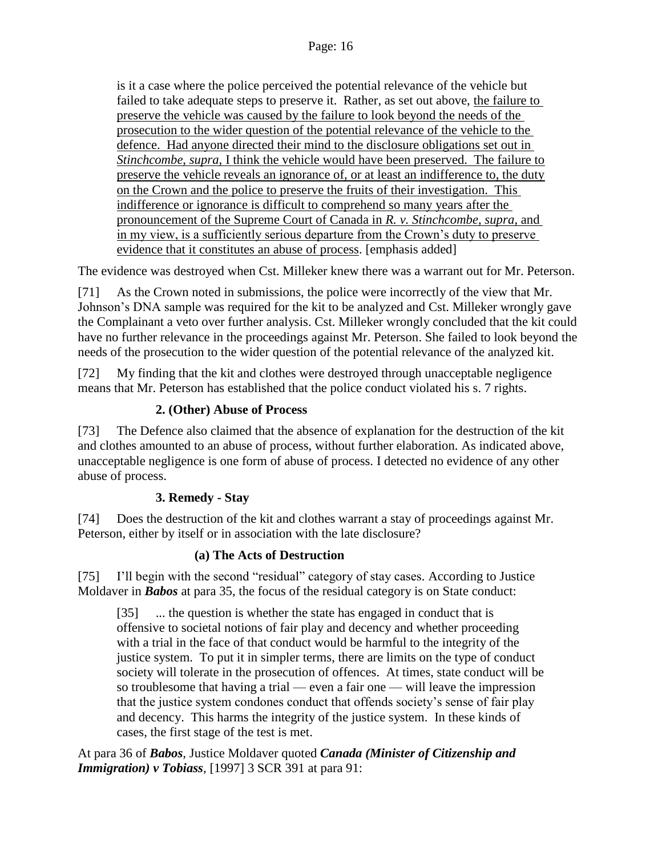is it a case where the police perceived the potential relevance of the vehicle but failed to take adequate steps to preserve it. Rather, as set out above, the failure to preserve the vehicle was caused by the failure to look beyond the needs of the prosecution to the wider question of the potential relevance of the vehicle to the defence. Had anyone directed their mind to the disclosure obligations set out in *Stinchcombe*, *supra*, I think the vehicle would have been preserved. The failure to preserve the vehicle reveals an ignorance of, or at least an indifference to, the duty on the Crown and the police to preserve the fruits of their investigation. This indifference or ignorance is difficult to comprehend so many years after the pronouncement of the Supreme Court of Canada in *R. v. Stinchcombe*, *supra*, and in my view, is a sufficiently serious departure from the Crown's duty to preserve evidence that it constitutes an abuse of process. [emphasis added]

The evidence was destroyed when Cst. Milleker knew there was a warrant out for Mr. Peterson.

[71] As the Crown noted in submissions, the police were incorrectly of the view that Mr. Johnson's DNA sample was required for the kit to be analyzed and Cst. Milleker wrongly gave the Complainant a veto over further analysis. Cst. Milleker wrongly concluded that the kit could have no further relevance in the proceedings against Mr. Peterson. She failed to look beyond the needs of the prosecution to the wider question of the potential relevance of the analyzed kit.

[72] My finding that the kit and clothes were destroyed through unacceptable negligence means that Mr. Peterson has established that the police conduct violated his s. 7 rights.

## **2. (Other) Abuse of Process**

<span id="page-15-0"></span>[73] The Defence also claimed that the absence of explanation for the destruction of the kit and clothes amounted to an abuse of process, without further elaboration. As indicated above, unacceptable negligence is one form of abuse of process. I detected no evidence of any other abuse of process.

## **3. Remedy - Stay**

<span id="page-15-1"></span>[74] Does the destruction of the kit and clothes warrant a stay of proceedings against Mr. Peterson, either by itself or in association with the late disclosure?

## **(a) The Acts of Destruction**

[75] I'll begin with the second "residual" category of stay cases. According to Justice Moldaver in *Babos* at para 35, the focus of the residual category is on State conduct:

[35] ... the question is whether the state has engaged in conduct that is offensive to societal notions of fair play and decency and whether proceeding with a trial in the face of that conduct would be harmful to the integrity of the justice system. To put it in simpler terms, there are limits on the type of conduct society will tolerate in the prosecution of offences. At times, state conduct will be so troublesome that having a trial — even a fair one — will leave the impression that the justice system condones conduct that offends society's sense of fair play and decency. This harms the integrity of the justice system. In these kinds of cases, the first stage of the test is met.

At para 36 of *Babos*, Justice Moldaver quoted *Canada (Minister of Citizenship and Immigration*) *v Tobiass*, [1997] 3 SCR 391 at para 91: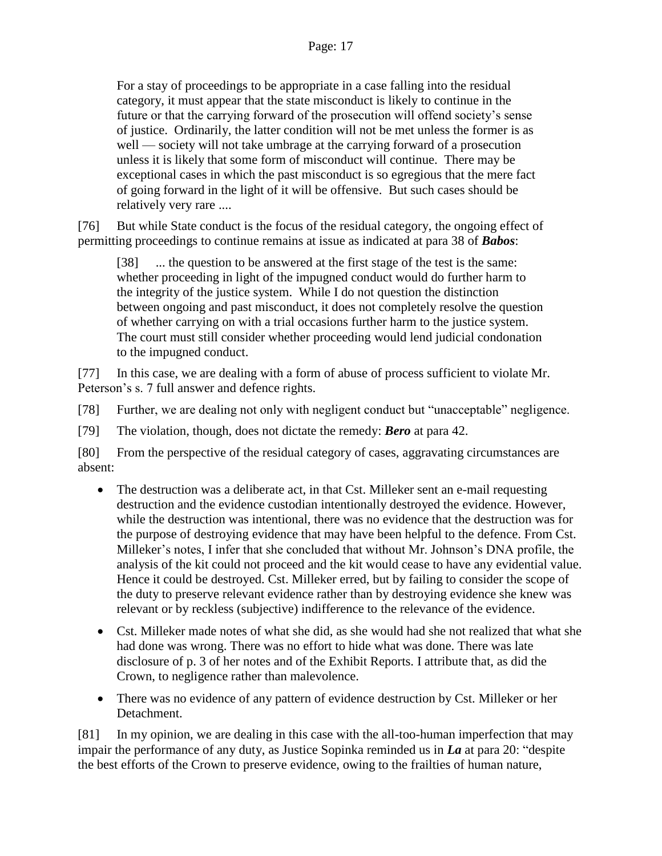For a stay of proceedings to be appropriate in a case falling into the residual category, it must appear that the state misconduct is likely to continue in the future or that the carrying forward of the prosecution will offend society's sense of justice. Ordinarily, the latter condition will not be met unless the former is as well — society will not take umbrage at the carrying forward of a prosecution unless it is likely that some form of misconduct will continue. There may be exceptional cases in which the past misconduct is so egregious that the mere fact of going forward in the light of it will be offensive. But such cases should be relatively very rare ....

[76] But while State conduct is the focus of the residual category, the ongoing effect of permitting proceedings to continue remains at issue as indicated at para 38 of *Babos*:

[38] ... the question to be answered at the first stage of the test is the same: whether proceeding in light of the impugned conduct would do further harm to the integrity of the justice system. While I do not question the distinction between ongoing and past misconduct, it does not completely resolve the question of whether carrying on with a trial occasions further harm to the justice system. The court must still consider whether proceeding would lend judicial condonation to the impugned conduct.

[77] In this case, we are dealing with a form of abuse of process sufficient to violate Mr. Peterson's s. 7 full answer and defence rights.

[78] Further, we are dealing not only with negligent conduct but "unacceptable" negligence.

[79] The violation, though, does not dictate the remedy: *Bero* at para 42.

[80] From the perspective of the residual category of cases, aggravating circumstances are absent:

- The destruction was a deliberate act, in that Cst. Milleker sent an e-mail requesting destruction and the evidence custodian intentionally destroyed the evidence. However, while the destruction was intentional, there was no evidence that the destruction was for the purpose of destroying evidence that may have been helpful to the defence. From Cst. Milleker's notes, I infer that she concluded that without Mr. Johnson's DNA profile, the analysis of the kit could not proceed and the kit would cease to have any evidential value. Hence it could be destroyed. Cst. Milleker erred, but by failing to consider the scope of the duty to preserve relevant evidence rather than by destroying evidence she knew was relevant or by reckless (subjective) indifference to the relevance of the evidence.
- Cst. Milleker made notes of what she did, as she would had she not realized that what she had done was wrong. There was no effort to hide what was done. There was late disclosure of p. 3 of her notes and of the Exhibit Reports. I attribute that, as did the Crown, to negligence rather than malevolence.
- There was no evidence of any pattern of evidence destruction by Cst. Milleker or her Detachment.

[81] In my opinion, we are dealing in this case with the all-too-human imperfection that may impair the performance of any duty, as Justice Sopinka reminded us in *La* at para 20: "despite the best efforts of the Crown to preserve evidence, owing to the frailties of human nature,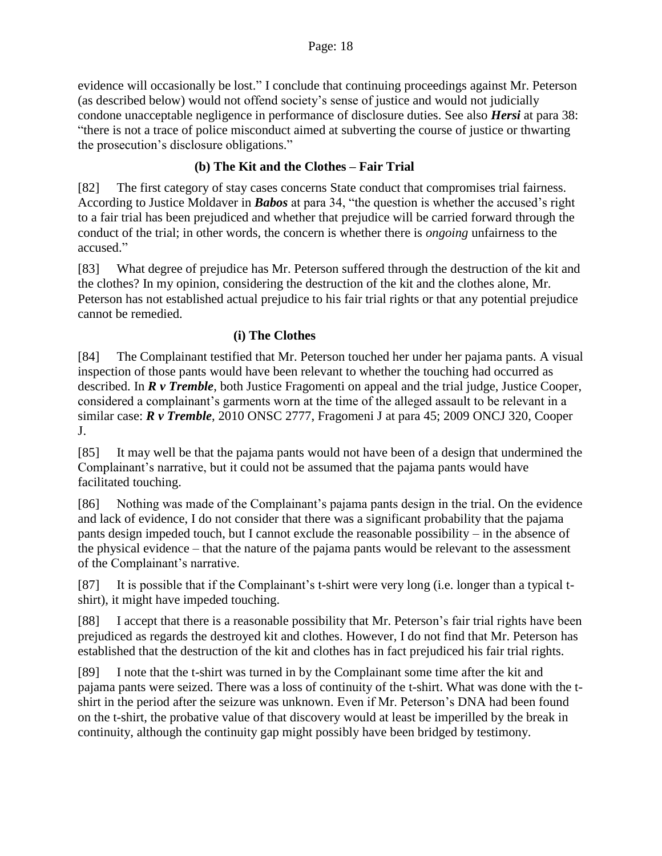evidence will occasionally be lost." I conclude that continuing proceedings against Mr. Peterson (as described below) would not offend society's sense of justice and would not judicially condone unacceptable negligence in performance of disclosure duties. See also *Hersi* at para 38: "there is not a trace of police misconduct aimed at subverting the course of justice or thwarting the prosecution's disclosure obligations."

## **(b) The Kit and the Clothes – Fair Trial**

[82] The first category of stay cases concerns State conduct that compromises trial fairness. According to Justice Moldaver in *Babos* at para 34, "the question is whether the accused's right to a fair trial has been prejudiced and whether that prejudice will be carried forward through the conduct of the trial; in other words, the concern is whether there is *ongoing* unfairness to the accused."

[83] What degree of prejudice has Mr. Peterson suffered through the destruction of the kit and the clothes? In my opinion, considering the destruction of the kit and the clothes alone, Mr. Peterson has not established actual prejudice to his fair trial rights or that any potential prejudice cannot be remedied.

## **(i) The Clothes**

[84] The Complainant testified that Mr. Peterson touched her under her pajama pants. A visual inspection of those pants would have been relevant to whether the touching had occurred as described. In *R v Tremble*, both Justice Fragomenti on appeal and the trial judge, Justice Cooper, considered a complainant's garments worn at the time of the alleged assault to be relevant in a similar case: *R v Tremble*, 2010 ONSC 2777, Fragomeni J at para 45; 2009 ONCJ 320, Cooper J.

[85] It may well be that the pajama pants would not have been of a design that undermined the Complainant's narrative, but it could not be assumed that the pajama pants would have facilitated touching.

[86] Nothing was made of the Complainant's pajama pants design in the trial. On the evidence and lack of evidence, I do not consider that there was a significant probability that the pajama pants design impeded touch, but I cannot exclude the reasonable possibility – in the absence of the physical evidence – that the nature of the pajama pants would be relevant to the assessment of the Complainant's narrative.

[87] It is possible that if the Complainant's t-shirt were very long (i.e. longer than a typical tshirt), it might have impeded touching.

[88] I accept that there is a reasonable possibility that Mr. Peterson's fair trial rights have been prejudiced as regards the destroyed kit and clothes. However, I do not find that Mr. Peterson has established that the destruction of the kit and clothes has in fact prejudiced his fair trial rights.

[89] I note that the t-shirt was turned in by the Complainant some time after the kit and pajama pants were seized. There was a loss of continuity of the t-shirt. What was done with the tshirt in the period after the seizure was unknown. Even if Mr. Peterson's DNA had been found on the t-shirt, the probative value of that discovery would at least be imperilled by the break in continuity, although the continuity gap might possibly have been bridged by testimony.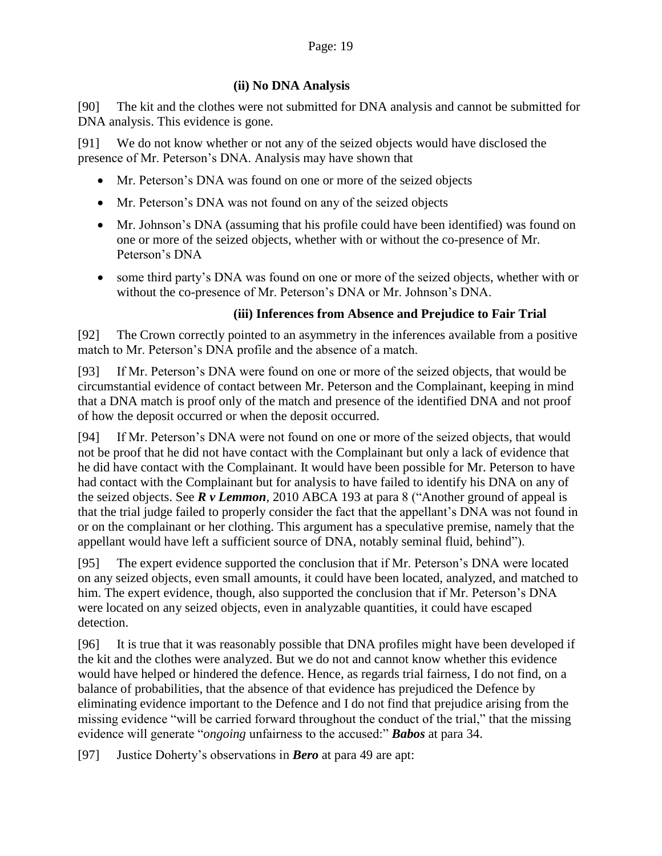## **(ii) No DNA Analysis**

[90] The kit and the clothes were not submitted for DNA analysis and cannot be submitted for DNA analysis. This evidence is gone.

[91] We do not know whether or not any of the seized objects would have disclosed the presence of Mr. Peterson's DNA. Analysis may have shown that

- Mr. Peterson's DNA was found on one or more of the seized objects
- Mr. Peterson's DNA was not found on any of the seized objects
- Mr. Johnson's DNA (assuming that his profile could have been identified) was found on one or more of the seized objects, whether with or without the co-presence of Mr. Peterson's DNA
- some third party's DNA was found on one or more of the seized objects, whether with or without the co-presence of Mr. Peterson's DNA or Mr. Johnson's DNA.

## **(iii) Inferences from Absence and Prejudice to Fair Trial**

[92] The Crown correctly pointed to an asymmetry in the inferences available from a positive match to Mr. Peterson's DNA profile and the absence of a match.

[93] If Mr. Peterson's DNA were found on one or more of the seized objects, that would be circumstantial evidence of contact between Mr. Peterson and the Complainant, keeping in mind that a DNA match is proof only of the match and presence of the identified DNA and not proof of how the deposit occurred or when the deposit occurred.

[94] If Mr. Peterson's DNA were not found on one or more of the seized objects, that would not be proof that he did not have contact with the Complainant but only a lack of evidence that he did have contact with the Complainant. It would have been possible for Mr. Peterson to have had contact with the Complainant but for analysis to have failed to identify his DNA on any of the seized objects. See *R v Lemmon*, 2010 ABCA 193 at para 8 ("Another ground of appeal is that the trial judge failed to properly consider the fact that the appellant's DNA was not found in or on the complainant or her clothing. This argument has a speculative premise, namely that the appellant would have left a sufficient source of DNA, notably seminal fluid, behind").

[95] The expert evidence supported the conclusion that if Mr. Peterson's DNA were located on any seized objects, even small amounts, it could have been located, analyzed, and matched to him. The expert evidence, though, also supported the conclusion that if Mr. Peterson's DNA were located on any seized objects, even in analyzable quantities, it could have escaped detection.

[96] It is true that it was reasonably possible that DNA profiles might have been developed if the kit and the clothes were analyzed. But we do not and cannot know whether this evidence would have helped or hindered the defence. Hence, as regards trial fairness, I do not find, on a balance of probabilities, that the absence of that evidence has prejudiced the Defence by eliminating evidence important to the Defence and I do not find that prejudice arising from the missing evidence "will be carried forward throughout the conduct of the trial," that the missing evidence will generate "*ongoing* unfairness to the accused:" *Babos* at para 34.

[97] Justice Doherty's observations in *Bero* at para 49 are apt: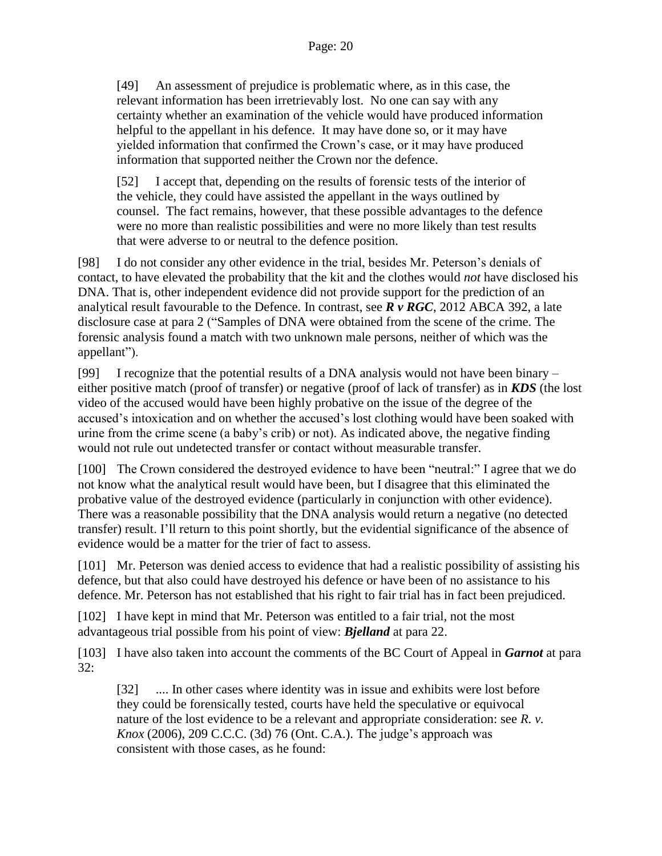[49] An assessment of prejudice is problematic where, as in this case, the relevant information has been irretrievably lost. No one can say with any certainty whether an examination of the vehicle would have produced information helpful to the appellant in his defence. It may have done so, or it may have yielded information that confirmed the Crown's case, or it may have produced information that supported neither the Crown nor the defence.

[52] I accept that, depending on the results of forensic tests of the interior of the vehicle, they could have assisted the appellant in the ways outlined by counsel. The fact remains, however, that these possible advantages to the defence were no more than realistic possibilities and were no more likely than test results that were adverse to or neutral to the defence position.

[98] I do not consider any other evidence in the trial, besides Mr. Peterson's denials of contact, to have elevated the probability that the kit and the clothes would *not* have disclosed his DNA. That is, other independent evidence did not provide support for the prediction of an analytical result favourable to the Defence. In contrast, see *R v RGC*, 2012 ABCA 392, a late disclosure case at para 2 ("Samples of DNA were obtained from the scene of the crime. The forensic analysis found a match with two unknown male persons, neither of which was the appellant").

[99] I recognize that the potential results of a DNA analysis would not have been binary – either positive match (proof of transfer) or negative (proof of lack of transfer) as in *KDS* (the lost video of the accused would have been highly probative on the issue of the degree of the accused's intoxication and on whether the accused's lost clothing would have been soaked with urine from the crime scene (a baby's crib) or not). As indicated above, the negative finding would not rule out undetected transfer or contact without measurable transfer.

[100] The Crown considered the destroyed evidence to have been "neutral:" I agree that we do not know what the analytical result would have been, but I disagree that this eliminated the probative value of the destroyed evidence (particularly in conjunction with other evidence). There was a reasonable possibility that the DNA analysis would return a negative (no detected transfer) result. I'll return to this point shortly, but the evidential significance of the absence of evidence would be a matter for the trier of fact to assess.

[101] Mr. Peterson was denied access to evidence that had a realistic possibility of assisting his defence, but that also could have destroyed his defence or have been of no assistance to his defence. Mr. Peterson has not established that his right to fair trial has in fact been prejudiced.

[102] I have kept in mind that Mr. Peterson was entitled to a fair trial, not the most advantageous trial possible from his point of view: *Bjelland* at para 22.

[103] I have also taken into account the comments of the BC Court of Appeal in *Garnot* at para 32:

[32] .... In other cases where identity was in issue and exhibits were lost before they could be forensically tested, courts have held the speculative or equivocal nature of the lost evidence to be a relevant and appropriate consideration: see *R. v. Knox* (2006), 209 C.C.C. (3d) 76 (Ont. C.A.). The judge's approach was consistent with those cases, as he found: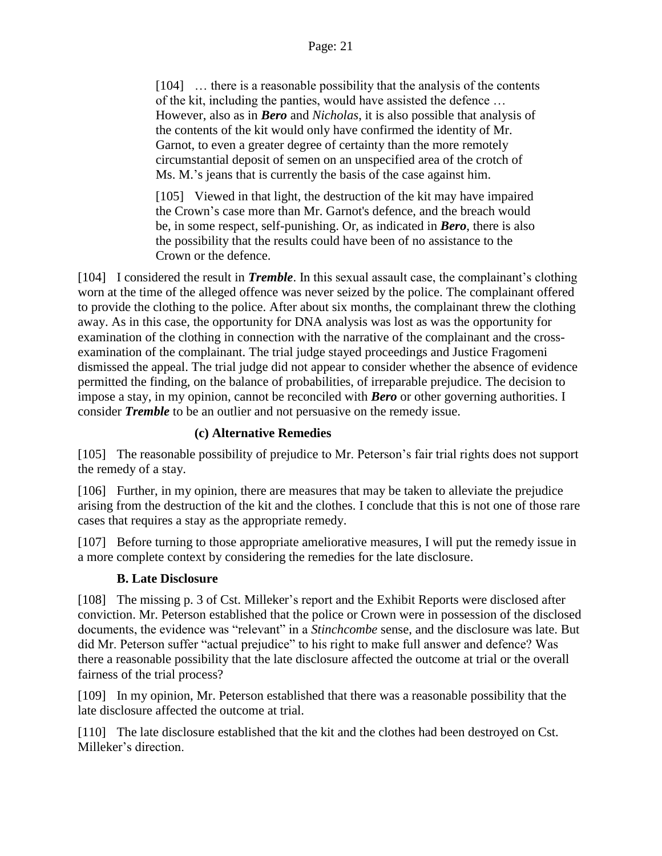[104] ... there is a reasonable possibility that the analysis of the contents of the kit, including the panties, would have assisted the defence … However, also as in *Bero* and *Nicholas*, it is also possible that analysis of the contents of the kit would only have confirmed the identity of Mr. Garnot, to even a greater degree of certainty than the more remotely circumstantial deposit of semen on an unspecified area of the crotch of Ms. M.'s jeans that is currently the basis of the case against him.

[105] Viewed in that light, the destruction of the kit may have impaired the Crown's case more than Mr. Garnot's defence, and the breach would be, in some respect, self-punishing. Or, as indicated in *Bero*, there is also the possibility that the results could have been of no assistance to the Crown or the defence.

[104] I considered the result in *Tremble*. In this sexual assault case, the complainant's clothing worn at the time of the alleged offence was never seized by the police. The complainant offered to provide the clothing to the police. After about six months, the complainant threw the clothing away. As in this case, the opportunity for DNA analysis was lost as was the opportunity for examination of the clothing in connection with the narrative of the complainant and the crossexamination of the complainant. The trial judge stayed proceedings and Justice Fragomeni dismissed the appeal. The trial judge did not appear to consider whether the absence of evidence permitted the finding, on the balance of probabilities, of irreparable prejudice. The decision to impose a stay, in my opinion, cannot be reconciled with *Bero* or other governing authorities. I consider *Tremble* to be an outlier and not persuasive on the remedy issue.

#### **(c) Alternative Remedies**

[105] The reasonable possibility of prejudice to Mr. Peterson's fair trial rights does not support the remedy of a stay.

[106] Further, in my opinion, there are measures that may be taken to alleviate the prejudice arising from the destruction of the kit and the clothes. I conclude that this is not one of those rare cases that requires a stay as the appropriate remedy.

[107] Before turning to those appropriate ameliorative measures, I will put the remedy issue in a more complete context by considering the remedies for the late disclosure.

#### **B. Late Disclosure**

<span id="page-20-0"></span>[108] The missing p. 3 of Cst. Milleker's report and the Exhibit Reports were disclosed after conviction. Mr. Peterson established that the police or Crown were in possession of the disclosed documents, the evidence was "relevant" in a *Stinchcombe* sense, and the disclosure was late. But did Mr. Peterson suffer "actual prejudice" to his right to make full answer and defence? Was there a reasonable possibility that the late disclosure affected the outcome at trial or the overall fairness of the trial process?

[109] In my opinion, Mr. Peterson established that there was a reasonable possibility that the late disclosure affected the outcome at trial.

[110] The late disclosure established that the kit and the clothes had been destroyed on Cst. Milleker's direction.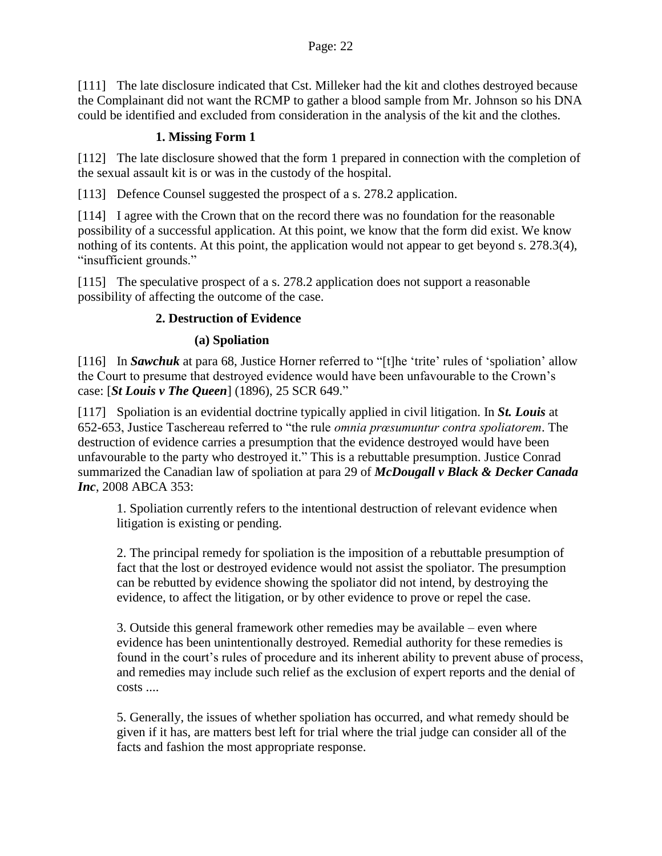[111] The late disclosure indicated that Cst. Milleker had the kit and clothes destroyed because the Complainant did not want the RCMP to gather a blood sample from Mr. Johnson so his DNA could be identified and excluded from consideration in the analysis of the kit and the clothes.

## **1. Missing Form 1**

<span id="page-21-0"></span>[112] The late disclosure showed that the form 1 prepared in connection with the completion of the sexual assault kit is or was in the custody of the hospital.

[113] Defence Counsel suggested the prospect of a s. 278.2 application.

[114] I agree with the Crown that on the record there was no foundation for the reasonable possibility of a successful application. At this point, we know that the form did exist. We know nothing of its contents. At this point, the application would not appear to get beyond s. 278.3(4), "insufficient grounds."

<span id="page-21-1"></span>[115] The speculative prospect of a s. 278.2 application does not support a reasonable possibility of affecting the outcome of the case.

## **2. Destruction of Evidence**

## **(a) Spoliation**

[116] In *Sawchuk* at para 68, Justice Horner referred to "[t]he 'trite' rules of 'spoliation' allow the Court to presume that destroyed evidence would have been unfavourable to the Crown's case: [*St Louis v The Queen*] (1896), 25 SCR 649."

[117] Spoliation is an evidential doctrine typically applied in civil litigation. In *St. Louis* at 652-653, Justice Taschereau referred to "the rule *omnia prœsumuntur contra spoliatorem*. The destruction of evidence carries a presumption that the evidence destroyed would have been unfavourable to the party who destroyed it." This is a rebuttable presumption. Justice Conrad summarized the Canadian law of spoliation at para 29 of *McDougall v Black & Decker Canada Inc*, 2008 ABCA 353:

1. Spoliation currently refers to the intentional destruction of relevant evidence when litigation is existing or pending.

2. The principal remedy for spoliation is the imposition of a rebuttable presumption of fact that the lost or destroyed evidence would not assist the spoliator. The presumption can be rebutted by evidence showing the spoliator did not intend, by destroying the evidence, to affect the litigation, or by other evidence to prove or repel the case.

3. Outside this general framework other remedies may be available – even where evidence has been unintentionally destroyed. Remedial authority for these remedies is found in the court's rules of procedure and its inherent ability to prevent abuse of process, and remedies may include such relief as the exclusion of expert reports and the denial of costs ....

5. Generally, the issues of whether spoliation has occurred, and what remedy should be given if it has, are matters best left for trial where the trial judge can consider all of the facts and fashion the most appropriate response.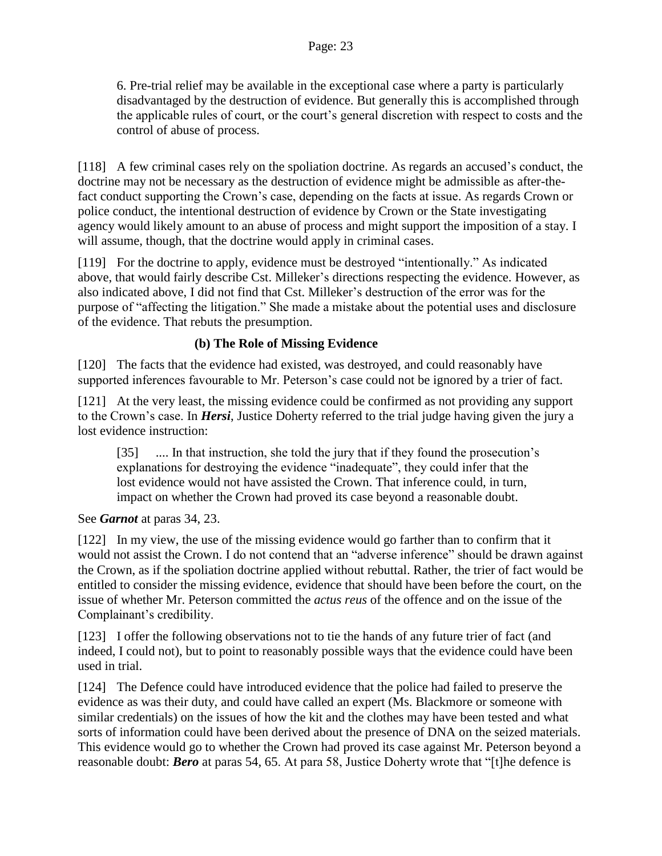6. Pre-trial relief may be available in the exceptional case where a party is particularly disadvantaged by the destruction of evidence. But generally this is accomplished through the applicable rules of court, or the court's general discretion with respect to costs and the control of abuse of process.

[118] A few criminal cases rely on the spoliation doctrine. As regards an accused's conduct, the doctrine may not be necessary as the destruction of evidence might be admissible as after-thefact conduct supporting the Crown's case, depending on the facts at issue. As regards Crown or police conduct, the intentional destruction of evidence by Crown or the State investigating agency would likely amount to an abuse of process and might support the imposition of a stay. I will assume, though, that the doctrine would apply in criminal cases.

[119] For the doctrine to apply, evidence must be destroyed "intentionally." As indicated above, that would fairly describe Cst. Milleker's directions respecting the evidence. However, as also indicated above, I did not find that Cst. Milleker's destruction of the error was for the purpose of "affecting the litigation." She made a mistake about the potential uses and disclosure of the evidence. That rebuts the presumption.

## **(b) The Role of Missing Evidence**

[120] The facts that the evidence had existed, was destroyed, and could reasonably have supported inferences favourable to Mr. Peterson's case could not be ignored by a trier of fact.

[121] At the very least, the missing evidence could be confirmed as not providing any support to the Crown's case. In *Hersi*, Justice Doherty referred to the trial judge having given the jury a lost evidence instruction:

[35] .... In that instruction, she told the jury that if they found the prosecution's explanations for destroying the evidence "inadequate", they could infer that the lost evidence would not have assisted the Crown. That inference could, in turn, impact on whether the Crown had proved its case beyond a reasonable doubt.

See *Garnot* at paras 34, 23.

[122] In my view, the use of the missing evidence would go farther than to confirm that it would not assist the Crown. I do not contend that an "adverse inference" should be drawn against the Crown, as if the spoliation doctrine applied without rebuttal. Rather, the trier of fact would be entitled to consider the missing evidence, evidence that should have been before the court, on the issue of whether Mr. Peterson committed the *actus reus* of the offence and on the issue of the Complainant's credibility.

[123] I offer the following observations not to tie the hands of any future trier of fact (and indeed, I could not), but to point to reasonably possible ways that the evidence could have been used in trial.

[124] The Defence could have introduced evidence that the police had failed to preserve the evidence as was their duty, and could have called an expert (Ms. Blackmore or someone with similar credentials) on the issues of how the kit and the clothes may have been tested and what sorts of information could have been derived about the presence of DNA on the seized materials. This evidence would go to whether the Crown had proved its case against Mr. Peterson beyond a reasonable doubt: *Bero* at paras 54, 65. At para 58, Justice Doherty wrote that "[t]he defence is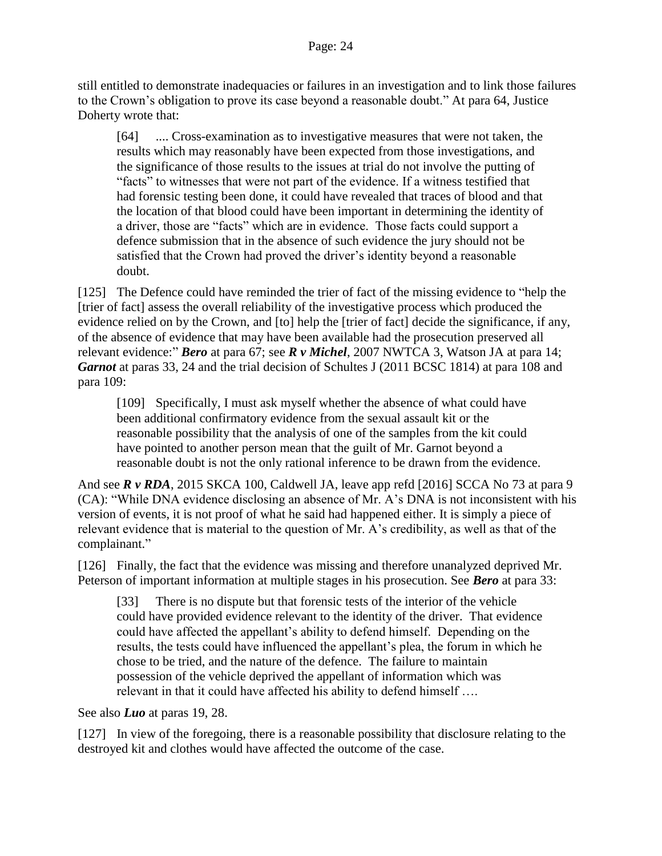still entitled to demonstrate inadequacies or failures in an investigation and to link those failures to the Crown's obligation to prove its case beyond a reasonable doubt." At para 64, Justice Doherty wrote that:

[64] .... Cross-examination as to investigative measures that were not taken, the results which may reasonably have been expected from those investigations, and the significance of those results to the issues at trial do not involve the putting of "facts" to witnesses that were not part of the evidence. If a witness testified that had forensic testing been done, it could have revealed that traces of blood and that the location of that blood could have been important in determining the identity of a driver, those are "facts" which are in evidence. Those facts could support a defence submission that in the absence of such evidence the jury should not be satisfied that the Crown had proved the driver's identity beyond a reasonable doubt.

[125] The Defence could have reminded the trier of fact of the missing evidence to "help the [trier of fact] assess the overall reliability of the investigative process which produced the evidence relied on by the Crown, and [to] help the [trier of fact] decide the significance, if any, of the absence of evidence that may have been available had the prosecution preserved all relevant evidence:" *Bero* at para 67; see *R v Michel*, 2007 NWTCA 3, Watson JA at para 14; *Garnot* at paras 33, 24 and the trial decision of Schultes J (2011 BCSC 1814) at para 108 and para 109:

[109] Specifically, I must ask myself whether the absence of what could have been additional confirmatory evidence from the sexual assault kit or the reasonable possibility that the analysis of one of the samples from the kit could have pointed to another person mean that the guilt of Mr. Garnot beyond a reasonable doubt is not the only rational inference to be drawn from the evidence.

And see *R v RDA*, 2015 SKCA 100, Caldwell JA, leave app refd [2016] SCCA No 73 at para 9 (CA): "While DNA evidence disclosing an absence of Mr. A's DNA is not inconsistent with his version of events, it is not proof of what he said had happened either. It is simply a piece of relevant evidence that is material to the question of Mr. A's credibility, as well as that of the complainant."

[126] Finally, the fact that the evidence was missing and therefore unanalyzed deprived Mr. Peterson of important information at multiple stages in his prosecution. See *Bero* at para 33:

[33] There is no dispute but that forensic tests of the interior of the vehicle could have provided evidence relevant to the identity of the driver. That evidence could have affected the appellant's ability to defend himself. Depending on the results, the tests could have influenced the appellant's plea, the forum in which he chose to be tried, and the nature of the defence. The failure to maintain possession of the vehicle deprived the appellant of information which was relevant in that it could have affected his ability to defend himself ….

See also *Luo* at paras 19, 28.

[127] In view of the foregoing, there is a reasonable possibility that disclosure relating to the destroyed kit and clothes would have affected the outcome of the case.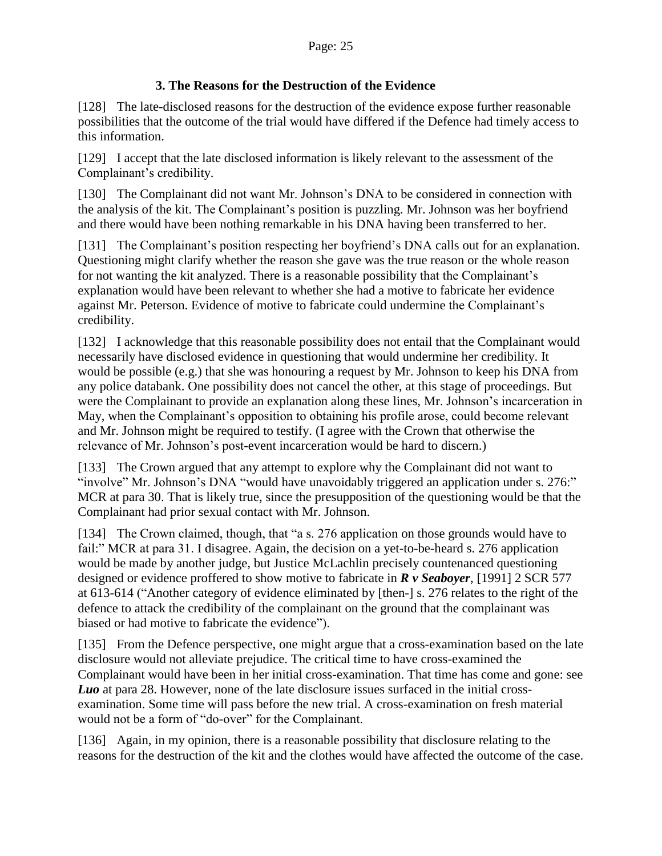## **3. The Reasons for the Destruction of the Evidence**

<span id="page-24-0"></span>[128] The late-disclosed reasons for the destruction of the evidence expose further reasonable possibilities that the outcome of the trial would have differed if the Defence had timely access to this information.

[129] I accept that the late disclosed information is likely relevant to the assessment of the Complainant's credibility.

[130] The Complainant did not want Mr. Johnson's DNA to be considered in connection with the analysis of the kit. The Complainant's position is puzzling. Mr. Johnson was her boyfriend and there would have been nothing remarkable in his DNA having been transferred to her.

[131] The Complainant's position respecting her boyfriend's DNA calls out for an explanation. Questioning might clarify whether the reason she gave was the true reason or the whole reason for not wanting the kit analyzed. There is a reasonable possibility that the Complainant's explanation would have been relevant to whether she had a motive to fabricate her evidence against Mr. Peterson. Evidence of motive to fabricate could undermine the Complainant's credibility.

[132] I acknowledge that this reasonable possibility does not entail that the Complainant would necessarily have disclosed evidence in questioning that would undermine her credibility. It would be possible (e.g.) that she was honouring a request by Mr. Johnson to keep his DNA from any police databank. One possibility does not cancel the other, at this stage of proceedings. But were the Complainant to provide an explanation along these lines, Mr. Johnson's incarceration in May, when the Complainant's opposition to obtaining his profile arose, could become relevant and Mr. Johnson might be required to testify. (I agree with the Crown that otherwise the relevance of Mr. Johnson's post-event incarceration would be hard to discern.)

[133] The Crown argued that any attempt to explore why the Complainant did not want to "involve" Mr. Johnson's DNA "would have unavoidably triggered an application under s. 276:" MCR at para 30. That is likely true, since the presupposition of the questioning would be that the Complainant had prior sexual contact with Mr. Johnson.

[134] The Crown claimed, though, that "a s. 276 application on those grounds would have to fail:" MCR at para 31. I disagree. Again, the decision on a yet-to-be-heard s. 276 application would be made by another judge, but Justice McLachlin precisely countenanced questioning designed or evidence proffered to show motive to fabricate in *R v Seaboyer*, [1991] 2 SCR 577 at 613-614 ("Another category of evidence eliminated by [then-] s. 276 relates to the right of the defence to attack the credibility of the complainant on the ground that the complainant was biased or had motive to fabricate the evidence").

[135] From the Defence perspective, one might argue that a cross-examination based on the late disclosure would not alleviate prejudice. The critical time to have cross-examined the Complainant would have been in her initial cross-examination. That time has come and gone: see *Luo* at para 28. However, none of the late disclosure issues surfaced in the initial crossexamination. Some time will pass before the new trial. A cross-examination on fresh material would not be a form of "do-over" for the Complainant.

[136] Again, in my opinion, there is a reasonable possibility that disclosure relating to the reasons for the destruction of the kit and the clothes would have affected the outcome of the case.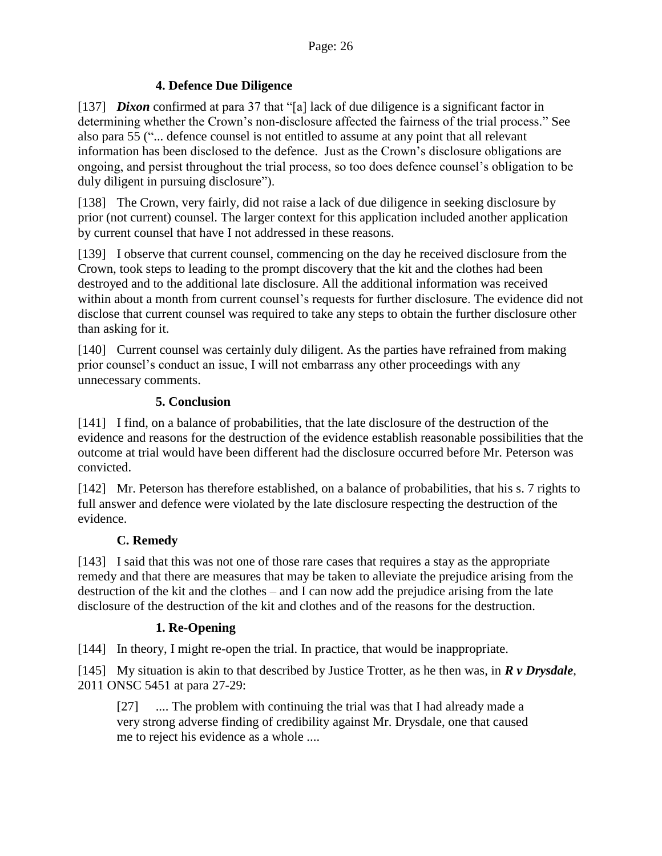## **4. Defence Due Diligence**

<span id="page-25-0"></span>[137] *Dixon* confirmed at para 37 that "[a] lack of due diligence is a significant factor in determining whether the Crown's non-disclosure affected the fairness of the trial process." See also para 55 ("... defence counsel is not entitled to assume at any point that all relevant information has been disclosed to the defence. Just as the Crown's disclosure obligations are ongoing, and persist throughout the trial process, so too does defence counsel's obligation to be duly diligent in pursuing disclosure").

[138] The Crown, very fairly, did not raise a lack of due diligence in seeking disclosure by prior (not current) counsel. The larger context for this application included another application by current counsel that have I not addressed in these reasons.

[139] I observe that current counsel, commencing on the day he received disclosure from the Crown, took steps to leading to the prompt discovery that the kit and the clothes had been destroyed and to the additional late disclosure. All the additional information was received within about a month from current counsel's requests for further disclosure. The evidence did not disclose that current counsel was required to take any steps to obtain the further disclosure other than asking for it.

[140] Current counsel was certainly duly diligent. As the parties have refrained from making prior counsel's conduct an issue, I will not embarrass any other proceedings with any unnecessary comments.

## **5. Conclusion**

<span id="page-25-1"></span>[141] I find, on a balance of probabilities, that the late disclosure of the destruction of the evidence and reasons for the destruction of the evidence establish reasonable possibilities that the outcome at trial would have been different had the disclosure occurred before Mr. Peterson was convicted.

[142] Mr. Peterson has therefore established, on a balance of probabilities, that his s. 7 rights to full answer and defence were violated by the late disclosure respecting the destruction of the evidence.

## **C. Remedy**

<span id="page-25-2"></span>[143] I said that this was not one of those rare cases that requires a stay as the appropriate remedy and that there are measures that may be taken to alleviate the prejudice arising from the destruction of the kit and the clothes – and I can now add the prejudice arising from the late disclosure of the destruction of the kit and clothes and of the reasons for the destruction.

## **1. Re-Opening**

<span id="page-25-3"></span>[144] In theory, I might re-open the trial. In practice, that would be inappropriate.

[145] My situation is akin to that described by Justice Trotter, as he then was, in *R v Drysdale*, 2011 ONSC 5451 at para 27-29:

[27] .... The problem with continuing the trial was that I had already made a very strong adverse finding of credibility against Mr. Drysdale, one that caused me to reject his evidence as a whole ....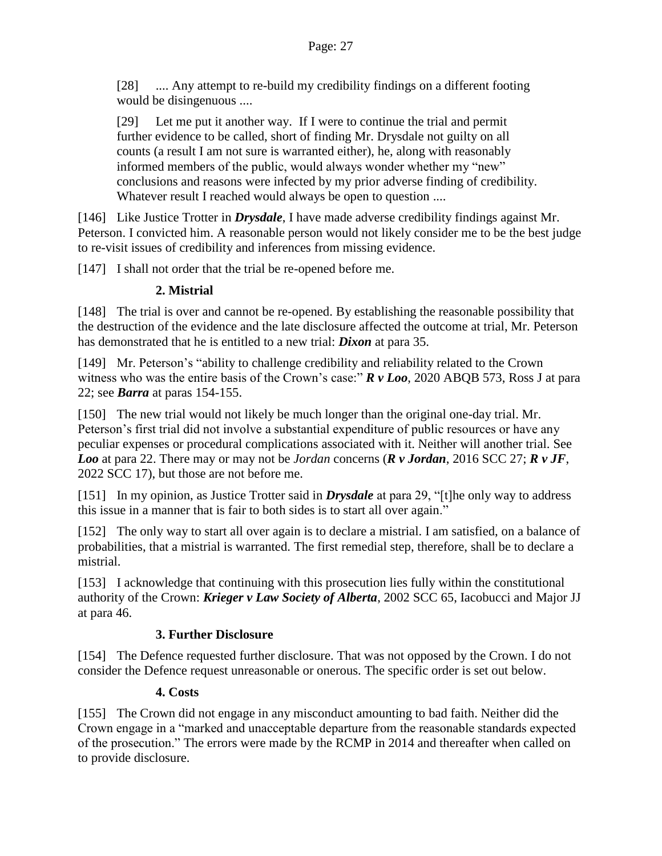[28] .... Any attempt to re-build my credibility findings on a different footing would be disingenuous ....

[29] Let me put it another way. If I were to continue the trial and permit further evidence to be called, short of finding Mr. Drysdale not guilty on all counts (a result I am not sure is warranted either), he, along with reasonably informed members of the public, would always wonder whether my "new" conclusions and reasons were infected by my prior adverse finding of credibility. Whatever result I reached would always be open to question ....

[146] Like Justice Trotter in *Drysdale*, I have made adverse credibility findings against Mr. Peterson. I convicted him. A reasonable person would not likely consider me to be the best judge to re-visit issues of credibility and inferences from missing evidence.

<span id="page-26-0"></span>[147] I shall not order that the trial be re-opened before me.

## **2. Mistrial**

[148] The trial is over and cannot be re-opened. By establishing the reasonable possibility that the destruction of the evidence and the late disclosure affected the outcome at trial, Mr. Peterson has demonstrated that he is entitled to a new trial: *Dixon* at para 35.

[149] Mr. Peterson's "ability to challenge credibility and reliability related to the Crown witness who was the entire basis of the Crown's case:" **R** v Loo, 2020 ABQB 573, Ross J at para 22; see *Barra* at paras 154-155.

[150] The new trial would not likely be much longer than the original one-day trial. Mr. Peterson's first trial did not involve a substantial expenditure of public resources or have any peculiar expenses or procedural complications associated with it. Neither will another trial. See *Loo* at para 22. There may or may not be *Jordan* concerns (*R v Jordan*, 2016 SCC 27; *R v JF*, 2022 SCC 17), but those are not before me.

[151] In my opinion, as Justice Trotter said in *Drysdale* at para 29, "[t]he only way to address this issue in a manner that is fair to both sides is to start all over again."

[152] The only way to start all over again is to declare a mistrial. I am satisfied, on a balance of probabilities, that a mistrial is warranted. The first remedial step, therefore, shall be to declare a mistrial.

[153] I acknowledge that continuing with this prosecution lies fully within the constitutional authority of the Crown: *Krieger v Law Society of Alberta*, 2002 SCC 65, Iacobucci and Major JJ at para 46.

## **3. Further Disclosure**

<span id="page-26-1"></span>[154] The Defence requested further disclosure. That was not opposed by the Crown. I do not consider the Defence request unreasonable or onerous. The specific order is set out below.

## **4. Costs**

<span id="page-26-2"></span>[155] The Crown did not engage in any misconduct amounting to bad faith. Neither did the Crown engage in a "marked and unacceptable departure from the reasonable standards expected of the prosecution." The errors were made by the RCMP in 2014 and thereafter when called on to provide disclosure.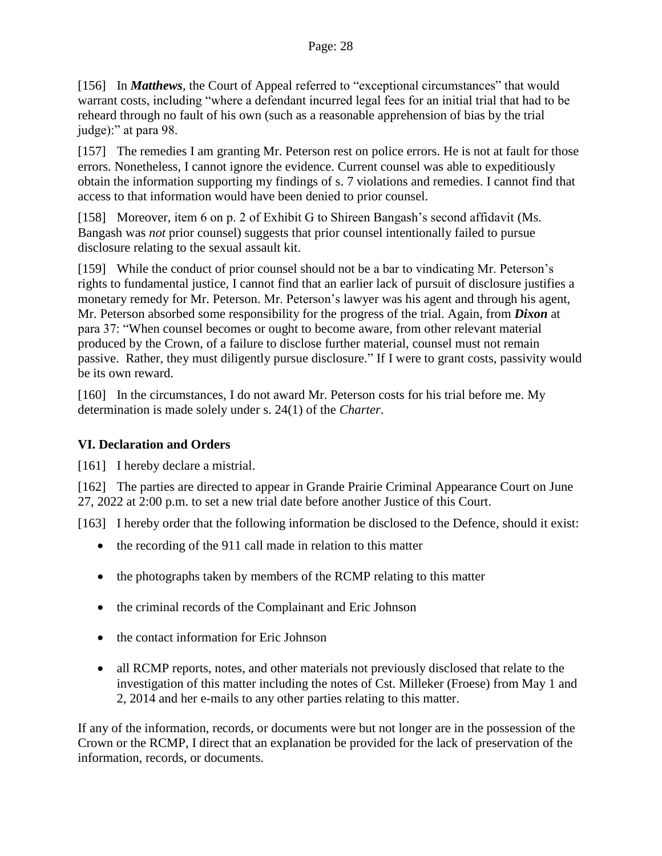[156] In *Matthews*, the Court of Appeal referred to "exceptional circumstances" that would warrant costs, including "where a defendant incurred legal fees for an initial trial that had to be reheard through no fault of his own (such as a reasonable apprehension of bias by the trial judge):" at para 98.

[157] The remedies I am granting Mr. Peterson rest on police errors. He is not at fault for those errors. Nonetheless, I cannot ignore the evidence. Current counsel was able to expeditiously obtain the information supporting my findings of s. 7 violations and remedies. I cannot find that access to that information would have been denied to prior counsel.

[158] Moreover, item 6 on p. 2 of Exhibit G to Shireen Bangash's second affidavit (Ms. Bangash was *not* prior counsel) suggests that prior counsel intentionally failed to pursue disclosure relating to the sexual assault kit.

[159] While the conduct of prior counsel should not be a bar to vindicating Mr. Peterson's rights to fundamental justice, I cannot find that an earlier lack of pursuit of disclosure justifies a monetary remedy for Mr. Peterson. Mr. Peterson's lawyer was his agent and through his agent, Mr. Peterson absorbed some responsibility for the progress of the trial. Again, from *Dixon* at para 37: "When counsel becomes or ought to become aware, from other relevant material produced by the Crown, of a failure to disclose further material, counsel must not remain passive. Rather, they must diligently pursue disclosure." If I were to grant costs, passivity would be its own reward.

[160] In the circumstances, I do not award Mr. Peterson costs for his trial before me. My determination is made solely under s. 24(1) of the *Charter*.

## <span id="page-27-0"></span>**VI. Declaration and Orders**

[161] I hereby declare a mistrial.

[162] The parties are directed to appear in Grande Prairie Criminal Appearance Court on June 27, 2022 at 2:00 p.m. to set a new trial date before another Justice of this Court.

[163] I hereby order that the following information be disclosed to the Defence, should it exist:

- the recording of the 911 call made in relation to this matter
- the photographs taken by members of the RCMP relating to this matter
- the criminal records of the Complainant and Eric Johnson
- the contact information for Eric Johnson
- all RCMP reports, notes, and other materials not previously disclosed that relate to the investigation of this matter including the notes of Cst. Milleker (Froese) from May 1 and 2, 2014 and her e-mails to any other parties relating to this matter.

If any of the information, records, or documents were but not longer are in the possession of the Crown or the RCMP, I direct that an explanation be provided for the lack of preservation of the information, records, or documents.